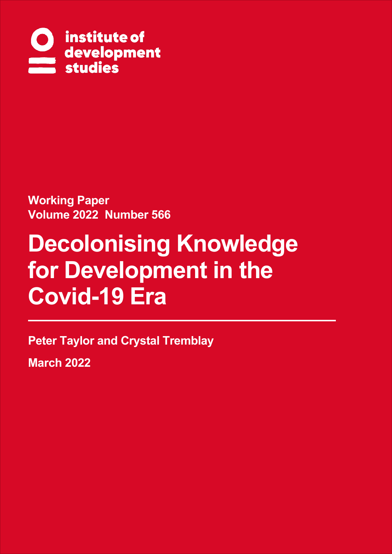

**Working Paper Volume 2022 Number 566**

# **Decolonising Knowledge for Development in the Covid-19 Era**

**Peter Taylor and Crystal Tremblay**

**March 2022**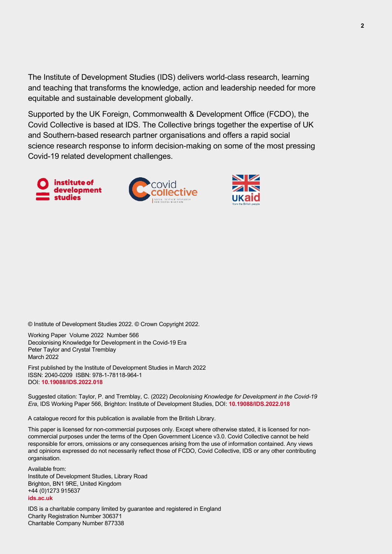The Institute of Development Studies (IDS) delivers world-class research, learning and teaching that transforms the knowledge, action and leadership needed for more equitable and sustainable development globally.

Supported by the UK Foreign, Commonwealth & Development Office (FCDO), the Covid Collective is based at IDS. The Collective brings together the expertise of UK and Southern-based research partner organisations and offers a rapid social science research response to inform decision-making on some of the most pressing Covid-19 related development challenges.







© Institute of Development Studies 2022. © Crown Copyright 2022.

Working Paper Volume 2022 Number 566 Decolonising Knowledge for Development in the Covid-19 Era Peter Taylor and Crystal Tremblay March 2022

First published by the Institute of Development Studies in March 2022 ISSN: 2040-0209 ISBN: 978-1-78118-964-1 DOI: **[10.19088/IDS.2022.018](https://doi.org/10.19088/IDS.2022.018)**

Suggested citation: Taylor, P. and Tremblay, C. (2022) *Decolonising Knowledge for Development in the Covid-19 Era*, IDS Working Paper 566, Brighton: Institute of Development Studies, DOI: **[10.19088/IDS.2022.018](https://doi.org/10.19088/IDS.2022.018)**

A catalogue record for this publication is available from the British Library.

This paper is licensed for non-commercial purposes only. Except where otherwise stated, it is licensed for noncommercial purposes under the terms of the Open Government Licence v3.0. Covid Collective cannot be held responsible for errors, omissions or any consequences arising from the use of information contained. Any views and opinions expressed do not necessarily reflect those of FCDO, Covid Collective, IDS or any other contributing organisation.

Available from: Institute of Development Studies, Library Road Brighton, BN1 9RE, United Kingdom +44 (0)1273 915637 **[ids.ac.uk](https://www.ids.ac.uk/)**

IDS is a charitable company limited by guarantee and registered in England Charity Registration Number 306371 Charitable Company Number 877338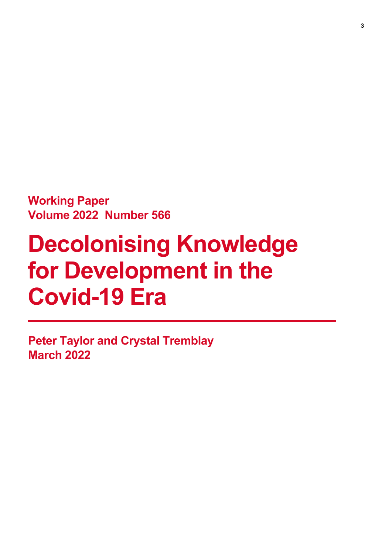**Working Paper Volume 2022 Number 566**

# **Decolonising Knowledge for Development in the Covid-19 Era**

**Peter Taylor and Crystal Tremblay March 2022**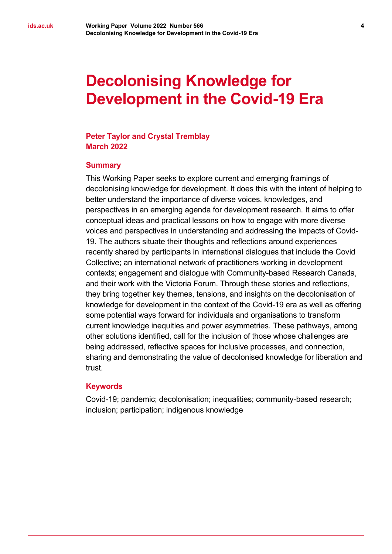# **Decolonising Knowledge for Development in the Covid-19 Era**

#### **Peter Taylor and Crystal Tremblay March 2022**

#### **Summary**

This Working Paper seeks to explore current and emerging framings of decolonising knowledge for development. It does this with the intent of helping to better understand the importance of diverse voices, knowledges, and perspectives in an emerging agenda for development research. It aims to offer conceptual ideas and practical lessons on how to engage with more diverse voices and perspectives in understanding and addressing the impacts of Covid-19. The authors situate their thoughts and reflections around experiences recently shared by participants in international dialogues that include the Covid Collective; an international network of practitioners working in development contexts; engagement and dialogue with Community-based Research Canada, and their work with the Victoria Forum. Through these stories and reflections, they bring together key themes, tensions, and insights on the decolonisation of knowledge for development in the context of the Covid-19 era as well as offering some potential ways forward for individuals and organisations to transform current knowledge inequities and power asymmetries. These pathways, among other solutions identified, call for the inclusion of those whose challenges are being addressed, reflective spaces for inclusive processes, and connection, sharing and demonstrating the value of decolonised knowledge for liberation and trust.

#### **Keywords**

Covid-19; pandemic; decolonisation; inequalities; community-based research; inclusion; participation; indigenous knowledge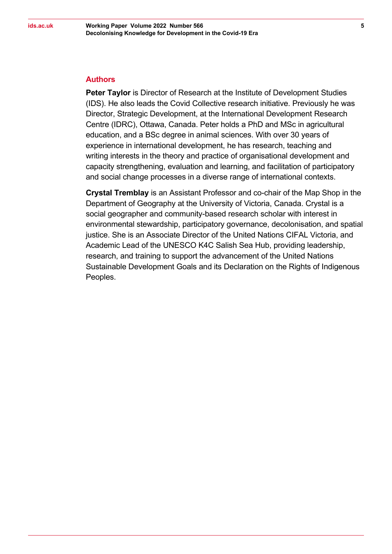#### **Authors**

**Peter Taylor** is Director of Research at the Institute of Development Studies (IDS). He also leads the Covid Collective research initiative. Previously he was Director, Strategic Development, at the International Development Research Centre (IDRC), Ottawa, Canada. Peter holds a PhD and MSc in agricultural education, and a BSc degree in animal sciences. With over 30 years of experience in international development, he has research, teaching and writing interests in the theory and practice of organisational development and capacity strengthening, evaluation and learning, and facilitation of participatory and social change processes in a diverse range of international contexts.

**Crystal Tremblay** is an Assistant Professor and co-chair of the Map Shop in the Department of Geography at the University of Victoria, Canada. Crystal is a social geographer and community-based research scholar with interest in environmental stewardship, participatory governance, decolonisation, and spatial justice. She is an Associate Director of the United Nations CIFAL Victoria, and Academic Lead of the UNESCO K4C Salish Sea Hub, providing leadership, research, and training to support the advancement of the United Nations Sustainable Development Goals and its Declaration on the Rights of Indigenous Peoples.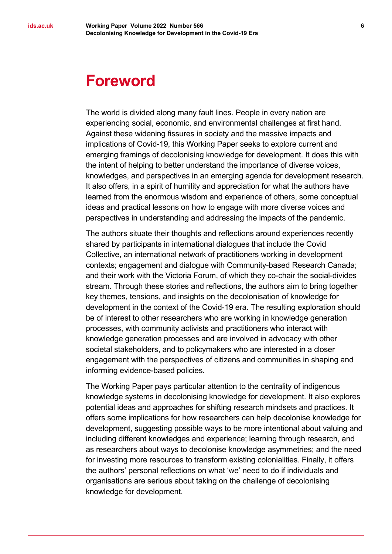### **Foreword**

The world is divided along many fault lines. People in every nation are experiencing social, economic, and environmental challenges at first hand. Against these widening fissures in society and the massive impacts and implications of Covid-19, this Working Paper seeks to explore current and emerging framings of decolonising knowledge for development. It does this with the intent of helping to better understand the importance of diverse voices, knowledges, and perspectives in an emerging agenda for development research. It also offers, in a spirit of humility and appreciation for what the authors have learned from the enormous wisdom and experience of others, some conceptual ideas and practical lessons on how to engage with more diverse voices and perspectives in understanding and addressing the impacts of the pandemic.

The authors situate their thoughts and reflections around experiences recently shared by participants in international dialogues that include the Covid Collective, an international network of practitioners working in development contexts; engagement and dialogue with Community-based Research Canada; and their work with the Victoria Forum, of which they co-chair the social-divides stream. Through these stories and reflections, the authors aim to bring together key themes, tensions, and insights on the decolonisation of knowledge for development in the context of the Covid-19 era. The resulting exploration should be of interest to other researchers who are working in knowledge generation processes, with community activists and practitioners who interact with knowledge generation processes and are involved in advocacy with other societal stakeholders, and to policymakers who are interested in a closer engagement with the perspectives of citizens and communities in shaping and informing evidence-based policies.

The Working Paper pays particular attention to the centrality of indigenous knowledge systems in decolonising knowledge for development. It also explores potential ideas and approaches for shifting research mindsets and practices. It offers some implications for how researchers can help decolonise knowledge for development, suggesting possible ways to be more intentional about valuing and including different knowledges and experience; learning through research, and as researchers about ways to decolonise knowledge asymmetries; and the need for investing more resources to transform existing colonialities. Finally, it offers the authors' personal reflections on what 'we' need to do if individuals and organisations are serious about taking on the challenge of decolonising knowledge for development.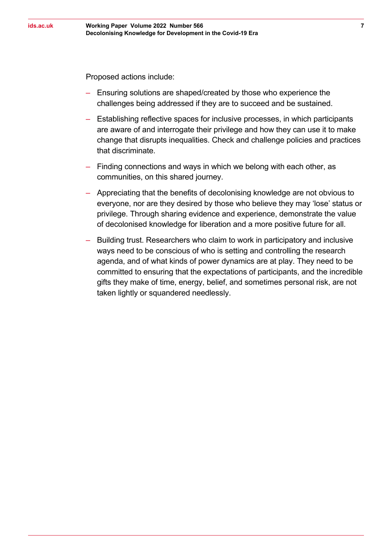Proposed actions include:

- ‒ Ensuring solutions are shaped/created by those who experience the challenges being addressed if they are to succeed and be sustained.
- ‒ Establishing reflective spaces for inclusive processes, in which participants are aware of and interrogate their privilege and how they can use it to make change that disrupts inequalities. Check and challenge policies and practices that discriminate.
- ‒ Finding connections and ways in which we belong with each other, as communities, on this shared journey.
- ‒ Appreciating that the benefits of decolonising knowledge are not obvious to everyone, nor are they desired by those who believe they may 'lose' status or privilege. Through sharing evidence and experience, demonstrate the value of decolonised knowledge for liberation and a more positive future for all.
- ‒ Building trust. Researchers who claim to work in participatory and inclusive ways need to be conscious of who is setting and controlling the research agenda, and of what kinds of power dynamics are at play. They need to be committed to ensuring that the expectations of participants, and the incredible gifts they make of time, energy, belief, and sometimes personal risk, are not taken lightly or squandered needlessly.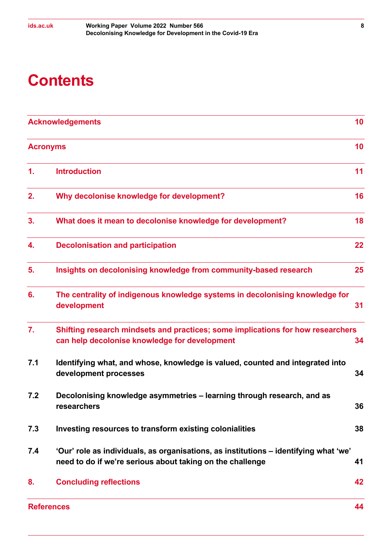# **Contents**

| <b>Acknowledgements</b> |                                                                                                                                                   |    |
|-------------------------|---------------------------------------------------------------------------------------------------------------------------------------------------|----|
| <b>Acronyms</b>         |                                                                                                                                                   | 10 |
| 1.                      | <b>Introduction</b>                                                                                                                               | 11 |
| 2.                      | Why decolonise knowledge for development?                                                                                                         | 16 |
| 3.                      | What does it mean to decolonise knowledge for development?                                                                                        | 18 |
| 4.                      | <b>Decolonisation and participation</b>                                                                                                           | 22 |
| 5.                      | Insights on decolonising knowledge from community-based research                                                                                  | 25 |
| 6.                      | The centrality of indigenous knowledge systems in decolonising knowledge for<br>development                                                       | 31 |
| 7.                      | Shifting research mindsets and practices; some implications for how researchers<br>can help decolonise knowledge for development                  | 34 |
| 7.1                     | Identifying what, and whose, knowledge is valued, counted and integrated into<br>development processes                                            | 34 |
| 7.2                     | Decolonising knowledge asymmetries – learning through research, and as<br>researchers                                                             | 36 |
| 7.3                     | Investing resources to transform existing colonialities                                                                                           | 38 |
| 7.4                     | 'Our' role as individuals, as organisations, as institutions – identifying what 'we'<br>need to do if we're serious about taking on the challenge | 41 |
| 8.                      | <b>Concluding reflections</b>                                                                                                                     | 42 |
|                         | <b>References</b>                                                                                                                                 | 44 |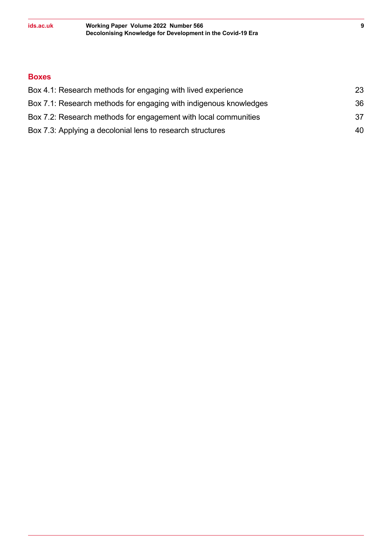#### **Boxes**

| Box 4.1: Research methods for engaging with lived experience      | 23 |
|-------------------------------------------------------------------|----|
| Box 7.1: Research methods for engaging with indigenous knowledges | 36 |
| Box 7.2: Research methods for engagement with local communities   | 37 |
| Box 7.3: Applying a decolonial lens to research structures        | 40 |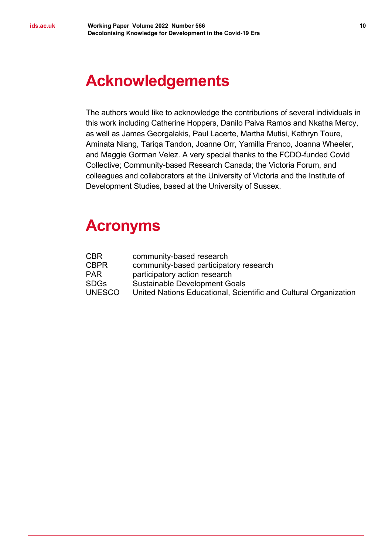## <span id="page-9-0"></span>**Acknowledgements**

The authors would like to acknowledge the contributions of several individuals in this work including Catherine Hoppers, Danilo Paiva Ramos and Nkatha Mercy, as well as James Georgalakis, Paul Lacerte, Martha Mutisi, Kathryn Toure, Aminata Niang, Tariqa Tandon, Joanne Orr, Yamilla Franco, Joanna Wheeler, and Maggie Gorman Velez. A very special thanks to the FCDO-funded Covid Collective; Community-based Research Canada; the Victoria Forum, and colleagues and collaborators at the University of Victoria and the Institute of Development Studies, based at the University of Sussex.

### <span id="page-9-1"></span>**Acronyms**

| CBR           | community-based research                                         |
|---------------|------------------------------------------------------------------|
| CBPR          | community-based participatory research                           |
| <b>PAR</b>    | participatory action research                                    |
| SDGs          | <b>Sustainable Development Goals</b>                             |
| <b>UNESCO</b> | United Nations Educational, Scientific and Cultural Organization |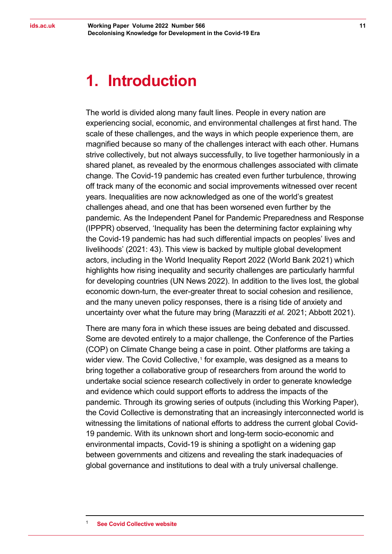### <span id="page-10-0"></span>**1. Introduction**

The world is divided along many fault lines. People in every nation are experiencing social, economic, and environmental challenges at first hand. The scale of these challenges, and the ways in which people experience them, are magnified because so many of the challenges interact with each other. Humans strive collectively, but not always successfully, to live together harmoniously in a shared planet, as revealed by the enormous challenges associated with climate change. The Covid-19 pandemic has created even further turbulence, throwing off track many of the economic and social improvements witnessed over recent years. Inequalities are now acknowledged as one of the world's greatest challenges ahead, and one that has been worsened even further by the pandemic. As the Independent Panel for Pandemic Preparedness and Response (IPPPR) observed, 'Inequality has been the determining factor explaining why the Covid-19 pandemic has had such differential impacts on peoples' lives and livelihoods' (2021: 43). This view is backed by multiple global development actors, including in the World Inequality Report 2022 (World Bank 2021) which highlights how rising inequality and security challenges are particularly harmful for developing countries (UN News 2022). In addition to the lives lost, the global economic down-turn, the ever-greater threat to social cohesion and resilience, and the many uneven policy responses, there is a rising tide of anxiety and uncertainty over what the future may bring (Marazziti *et al.* 2021; Abbott 2021).

<span id="page-10-1"></span>There are many fora in which these issues are being debated and discussed. Some are devoted entirely to a major challenge, the Conference of the Parties (COP) on Climate Change being a case in point. Other platforms are taking a wider view. The Covid Collective,<sup>[1](#page-10-1)</sup> for example, was designed as a means to bring together a collaborative group of researchers from around the world to undertake social science research collectively in order to generate knowledge and evidence which could support efforts to address the impacts of the pandemic. Through its growing series of outputs (including this Working Paper), the Covid Collective is demonstrating that an increasingly interconnected world is witnessing the limitations of national efforts to address the current global Covid-19 pandemic. With its unknown short and long-term socio-economic and environmental impacts, Covid-19 is shining a spotlight on a widening gap between governments and citizens and revealing the stark inadequacies of global governance and institutions to deal with a truly universal challenge.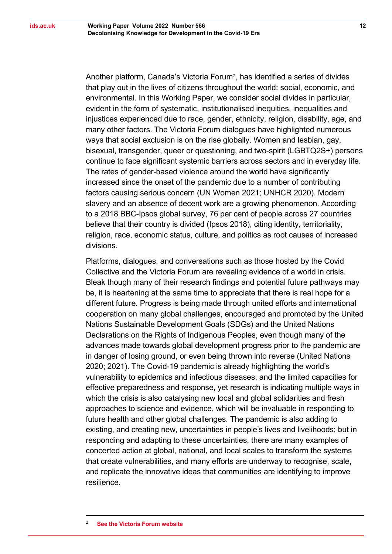Another platform, Canada's Victoria Forum[2,](#page-11-0) has identified a series of divides that play out in the lives of citizens throughout the world: social, economic, and environmental. In this Working Paper, we consider social divides in particular, evident in the form of systematic, institutionalised inequities, inequalities and injustices experienced due to race, gender, ethnicity, religion, disability, age, and many other factors. The Victoria Forum dialogues have highlighted numerous ways that social exclusion is on the rise globally. Women and lesbian, gay, bisexual, transgender, queer or questioning, and two-spirit (LGBTQ2S+) persons continue to face significant systemic barriers across sectors and in everyday life. The rates of gender-based violence around the world have significantly increased since the onset of the pandemic due to a number of contributing factors causing serious concern (UN Women 2021; UNHCR 2020). Modern slavery and an absence of decent work are a growing phenomenon. According to a 2018 BBC-Ipsos global survey, 76 per cent of people across 27 countries believe that their country is divided (Ipsos 2018), citing identity, territoriality, religion, race, economic status, culture, and politics as root causes of increased divisions.

<span id="page-11-0"></span>Platforms, dialogues, and conversations such as those hosted by the Covid Collective and the Victoria Forum are revealing evidence of a world in crisis. Bleak though many of their research findings and potential future pathways may be, it is heartening at the same time to appreciate that there is real hope for a different future. Progress is being made through united efforts and international cooperation on many global challenges, encouraged and promoted by the United Nations Sustainable Development Goals (SDGs) and the United Nations Declarations on the Rights of Indigenous Peoples, even though many of the advances made towards global development progress prior to the pandemic are in danger of losing ground, or even being thrown into reverse (United Nations 2020; 2021). The Covid-19 pandemic is already highlighting the world's vulnerability to epidemics and infectious diseases, and the limited capacities for effective preparedness and response, yet research is indicating multiple ways in which the crisis is also catalysing new local and global solidarities and fresh approaches to science and evidence, which will be invaluable in responding to future health and other global challenges. The pandemic is also adding to existing, and creating new, uncertainties in people's lives and livelihoods; but in responding and adapting to these uncertainties, there are many examples of concerted action at global, national, and local scales to transform the systems that create vulnerabilities, and many efforts are underway to recognise, scale, and replicate the innovative ideas that communities are identifying to improve resilience.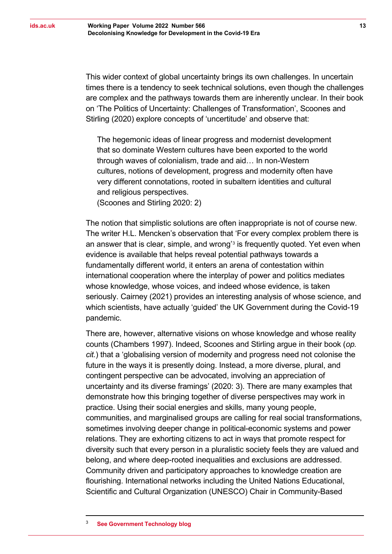This wider context of global uncertainty brings its own challenges. In uncertain times there is a tendency to seek technical solutions, even though the challenges are complex and the pathways towards them are inherently unclear. In their book on 'The Politics of Uncertainty: Challenges of Transformation', Scoones and Stirling (2020) explore concepts of 'uncertitude' and observe that:

The hegemonic ideas of linear progress and modernist development that so dominate Western cultures have been exported to the world through waves of colonialism, trade and aid… In non-Western cultures, notions of development, progress and modernity often have very different connotations, rooted in subaltern identities and cultural and religious perspectives.

(Scoones and Stirling 2020: 2)

The notion that simplistic solutions are often inappropriate is not of course new. The writer H.L. Mencken's observation that 'For every complex problem there is an answer that is clear, simple, and wrong'[3](#page-12-0) is frequently quoted. Yet even when evidence is available that helps reveal potential pathways towards a fundamentally different world, it enters an arena of contestation within international cooperation where the interplay of power and politics mediates whose knowledge, whose voices, and indeed whose evidence, is taken seriously. Cairney (2021) provides an interesting analysis of whose science, and which scientists, have actually 'guided' the UK Government during the Covid-19 pandemic.

There are, however, alternative visions on whose knowledge and whose reality counts (Chambers 1997). Indeed, Scoones and Stirling argue in their book (*op. cit.*) that a 'globalising version of modernity and progress need not colonise the future in the ways it is presently doing. Instead, a more diverse, plural, and contingent perspective can be advocated, involving an appreciation of uncertainty and its diverse framings' (2020: 3). There are many examples that demonstrate how this bringing together of diverse perspectives may work in practice. Using their social energies and skills, many young people, communities, and marginalised groups are calling for real social transformations, sometimes involving deeper change in political-economic systems and power relations. They are exhorting citizens to act in ways that promote respect for diversity such that every person in a pluralistic society feels they are valued and belong, and where deep-rooted inequalities and exclusions are addressed. Community driven and participatory approaches to knowledge creation are flourishing. International networks including the United Nations Educational, Scientific and Cultural Organization (UNESCO) Chair in Community-Based

<span id="page-12-0"></span><sup>3</sup> **[See Government Technology blog](https://www.govtech.com/em/emergency-blogs/disaster-zone/quote-complex-problems-simple-solutions-073012.html#:%7E:text=%22For%20every%20complex%20problem%2C%20there)**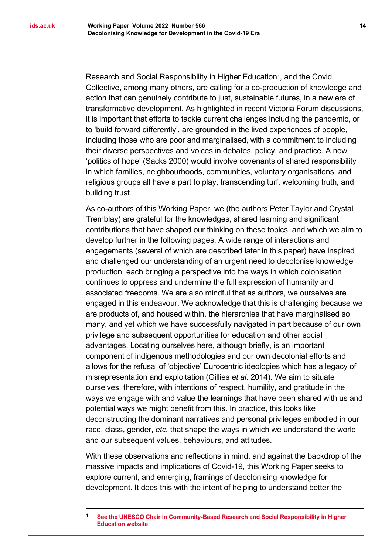Research and Social Responsibility in Higher Education<sup>[4](#page-13-0)</sup>, and the Covid Collective, among many others, are calling for a co-production of knowledge and action that can genuinely contribute to just, sustainable futures, in a new era of transformative development. As highlighted in recent Victoria Forum discussions, it is important that efforts to tackle current challenges including the pandemic, or to 'build forward differently', are grounded in the lived experiences of people, including those who are poor and marginalised, with a commitment to including their diverse perspectives and voices in debates, policy, and practice. A new 'politics of hope' (Sacks 2000) would involve covenants of shared responsibility in which families, neighbourhoods, communities, voluntary organisations, and religious groups all have a part to play, transcending turf, welcoming truth, and building trust.

As co-authors of this Working Paper, we (the authors Peter Taylor and Crystal Tremblay) are grateful for the knowledges, shared learning and significant contributions that have shaped our thinking on these topics, and which we aim to develop further in the following pages. A wide range of interactions and engagements (several of which are described later in this paper) have inspired and challenged our understanding of an urgent need to decolonise knowledge production, each bringing a perspective into the ways in which colonisation continues to oppress and undermine the full expression of humanity and associated freedoms. We are also mindful that as authors, we ourselves are engaged in this endeavour. We acknowledge that this is challenging because we are products of, and housed within, the hierarchies that have marginalised so many, and yet which we have successfully navigated in part because of our own privilege and subsequent opportunities for education and other social advantages. Locating ourselves here, although briefly, is an important component of indigenous methodologies and our own decolonial efforts and allows for the refusal of 'objective' Eurocentric ideologies which has a legacy of misrepresentation and exploitation (Gillies *et al*. 2014). We aim to situate ourselves, therefore, with intentions of respect, humility, and gratitude in the ways we engage with and value the learnings that have been shared with us and potential ways we might benefit from this. In practice, this looks like deconstructing the dominant narratives and personal privileges embodied in our race, class, gender, *etc.* that shape the ways in which we understand the world and our subsequent values, behaviours, and attitudes.

With these observations and reflections in mind, and against the backdrop of the massive impacts and implications of Covid-19, this Working Paper seeks to explore current, and emerging, framings of decolonising knowledge for development. It does this with the intent of helping to understand better the

<span id="page-13-0"></span><sup>4</sup> **[See the UNESCO Chair in Community-Based Research and Social Responsibility in Higher](https://www.unescochair-cbrsr.org/)  [Education website](https://www.unescochair-cbrsr.org/)**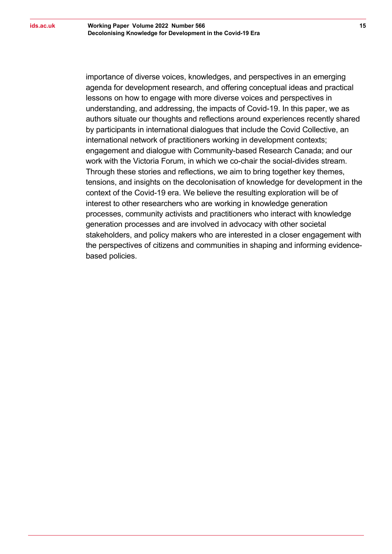importance of diverse voices, knowledges, and perspectives in an emerging agenda for development research, and offering conceptual ideas and practical lessons on how to engage with more diverse voices and perspectives in understanding, and addressing, the impacts of Covid-19. In this paper, we as authors situate our thoughts and reflections around experiences recently shared by participants in international dialogues that include the Covid Collective, an international network of practitioners working in development contexts; engagement and dialogue with Community-based Research Canada; and our work with the Victoria Forum, in which we co-chair the social-divides stream. Through these stories and reflections, we aim to bring together key themes, tensions, and insights on the decolonisation of knowledge for development in the context of the Covid-19 era. We believe the resulting exploration will be of interest to other researchers who are working in knowledge generation processes, community activists and practitioners who interact with knowledge generation processes and are involved in advocacy with other societal stakeholders, and policy makers who are interested in a closer engagement with the perspectives of citizens and communities in shaping and informing evidencebased policies.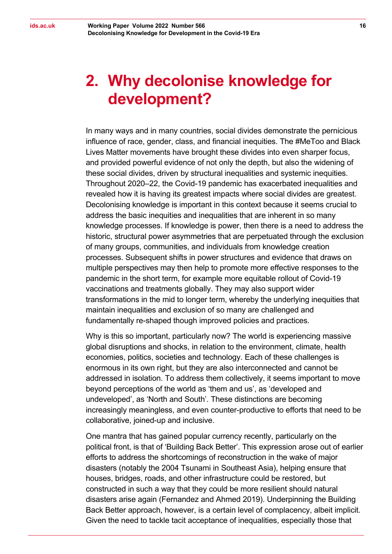# <span id="page-15-0"></span>**2. Why decolonise knowledge for development?**

In many ways and in many countries, social divides demonstrate the pernicious influence of race, gender, class, and financial inequities. The #MeToo and Black Lives Matter movements have brought these divides into even sharper focus, and provided powerful evidence of not only the depth, but also the widening of these social divides, driven by structural inequalities and systemic inequities. Throughout 2020–22, the Covid-19 pandemic has exacerbated inequalities and revealed how it is having its greatest impacts where social divides are greatest. Decolonising knowledge is important in this context because it seems crucial to address the basic inequities and inequalities that are inherent in so many knowledge processes. If knowledge is power, then there is a need to address the historic, structural power asymmetries that are perpetuated through the exclusion of many groups, communities, and individuals from knowledge creation processes. Subsequent shifts in power structures and evidence that draws on multiple perspectives may then help to promote more effective responses to the pandemic in the short term, for example more equitable rollout of Covid-19 vaccinations and treatments globally. They may also support wider transformations in the mid to longer term, whereby the underlying inequities that maintain inequalities and exclusion of so many are challenged and fundamentally re-shaped though improved policies and practices.

Why is this so important, particularly now? The world is experiencing massive global disruptions and shocks, in relation to the environment, climate, health economies, politics, societies and technology. Each of these challenges is enormous in its own right, but they are also interconnected and cannot be addressed in isolation. To address them collectively, it seems important to move beyond perceptions of the world as 'them and us', as 'developed and undeveloped', as 'North and South'. These distinctions are becoming increasingly meaningless, and even counter-productive to efforts that need to be collaborative, joined-up and inclusive.

One mantra that has gained popular currency recently, particularly on the political front, is that of 'Building Back Better'. This expression arose out of earlier efforts to address the shortcomings of reconstruction in the wake of major disasters (notably the 2004 Tsunami in Southeast Asia), helping ensure that houses, bridges, roads, and other infrastructure could be restored, but constructed in such a way that they could be more resilient should natural disasters arise again (Fernandez and Ahmed 2019). Underpinning the Building Back Better approach, however, is a certain level of complacency, albeit implicit. Given the need to tackle tacit acceptance of inequalities, especially those that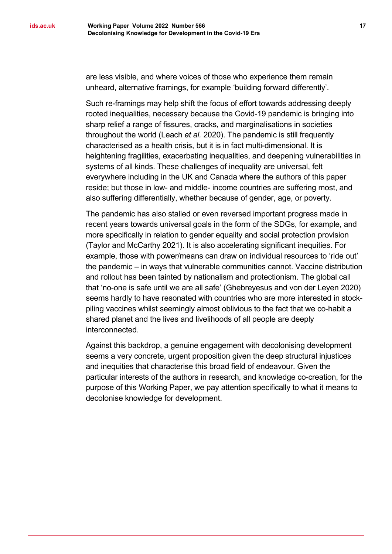**17**

are less visible, and where voices of those who experience them remain unheard, alternative framings, for example 'building forward differently'.

Such re-framings may help shift the focus of effort towards addressing deeply rooted inequalities, necessary because the Covid-19 pandemic is bringing into sharp relief a range of fissures, cracks, and marginalisations in societies throughout the world (Leach *et al.* 2020). The pandemic is still frequently characterised as a health crisis, but it is in fact multi-dimensional. It is heightening fragilities, exacerbating inequalities, and deepening vulnerabilities in systems of all kinds. These challenges of inequality are universal, felt everywhere including in the UK and Canada where the authors of this paper reside; but those in low- and middle- income countries are suffering most, and also suffering differentially, whether because of gender, age, or poverty.

The pandemic has also stalled or even reversed important progress made in recent years towards universal goals in the form of the SDGs, for example, and more specifically in relation to gender equality and social protection provision (Taylor and McCarthy 2021). It is also accelerating significant inequities. For example, those with power/means can draw on individual resources to 'ride out' the pandemic – in ways that vulnerable communities cannot. Vaccine distribution and rollout has been tainted by nationalism and protectionism. The global call that 'no-one is safe until we are all safe' (Ghebreyesus and von der Leyen 2020) seems hardly to have resonated with countries who are more interested in stockpiling vaccines whilst seemingly almost oblivious to the fact that we co-habit a shared planet and the lives and livelihoods of all people are deeply interconnected.

Against this backdrop, a genuine engagement with decolonising development seems a very concrete, urgent proposition given the deep structural injustices and inequities that characterise this broad field of endeavour. Given the particular interests of the authors in research, and knowledge co-creation, for the purpose of this Working Paper, we pay attention specifically to what it means to decolonise knowledge for development.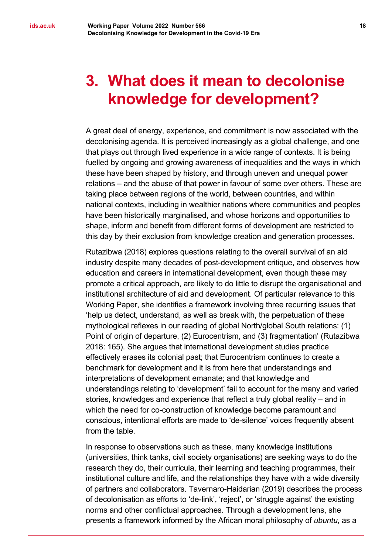## <span id="page-17-0"></span>**3. What does it mean to decolonise knowledge for development?**

A great deal of energy, experience, and commitment is now associated with the decolonising agenda. It is perceived increasingly as a global challenge, and one that plays out through lived experience in a wide range of contexts. It is being fuelled by ongoing and growing awareness of inequalities and the ways in which these have been shaped by history, and through uneven and unequal power relations – and the abuse of that power in favour of some over others. These are taking place between regions of the world, between countries, and within national contexts, including in wealthier nations where communities and peoples have been historically marginalised, and whose horizons and opportunities to shape, inform and benefit from different forms of development are restricted to this day by their exclusion from knowledge creation and generation processes.

Rutazibwa (2018) explores questions relating to the overall survival of an aid industry despite many decades of post-development critique, and observes how education and careers in international development, even though these may promote a critical approach, are likely to do little to disrupt the organisational and institutional architecture of aid and development. Of particular relevance to this Working Paper, she identifies a framework involving three recurring issues that 'help us detect, understand, as well as break with, the perpetuation of these mythological reflexes in our reading of global North/global South relations: (1) Point of origin of departure, (2) Eurocentrism, and (3) fragmentation' (Rutazibwa 2018: 165). She argues that international development studies practice effectively erases its colonial past; that Eurocentrism continues to create a benchmark for development and it is from here that understandings and interpretations of development emanate; and that knowledge and understandings relating to 'development' fail to account for the many and varied stories, knowledges and experience that reflect a truly global reality – and in which the need for co-construction of knowledge become paramount and conscious, intentional efforts are made to 'de-silence' voices frequently absent from the table.

In response to observations such as these, many knowledge institutions (universities, think tanks, civil society organisations) are seeking ways to do the research they do, their curricula, their learning and teaching programmes, their institutional culture and life, and the relationships they have with a wide diversity of partners and collaborators. Tavernaro-Haidarian (2019) describes the process of decolonisation as efforts to 'de-link', 'reject', or 'struggle against' the existing norms and other conflictual approaches. Through a development lens, she presents a framework informed by the African moral philosophy of *ubuntu*, as a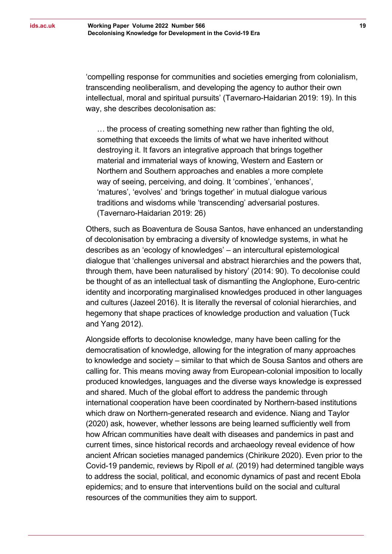'compelling response for communities and societies emerging from colonialism, transcending neoliberalism, and developing the agency to author their own intellectual, moral and spiritual pursuits' (Tavernaro-Haidarian 2019: 19). In this way, she describes decolonisation as:

… the process of creating something new rather than fighting the old, something that exceeds the limits of what we have inherited without destroying it. It favors an integrative approach that brings together material and immaterial ways of knowing, Western and Eastern or Northern and Southern approaches and enables a more complete way of seeing, perceiving, and doing. It 'combines', 'enhances', 'matures', 'evolves' and 'brings together' in mutual dialogue various traditions and wisdoms while 'transcending' adversarial postures. (Tavernaro-Haidarian 2019: 26)

Others, such as Boaventura de Sousa Santos, have enhanced an understanding of decolonisation by embracing a diversity of knowledge systems, in what he describes as an 'ecology of knowledges' – an intercultural epistemological dialogue that 'challenges universal and abstract hierarchies and the powers that, through them, have been naturalised by history' (2014: 90). To decolonise could be thought of as an intellectual task of dismantling the Anglophone, Euro-centric identity and incorporating marginalised knowledges produced in other languages and cultures (Jazeel 2016). It is literally the reversal of colonial hierarchies, and hegemony that shape practices of knowledge production and valuation (Tuck and Yang 2012).

Alongside efforts to decolonise knowledge, many have been calling for the democratisation of knowledge, allowing for the integration of many approaches to knowledge and society – similar to that which de Sousa Santos and others are calling for. This means moving away from European-colonial imposition to locally produced knowledges, languages and the diverse ways knowledge is expressed and shared. Much of the global effort to address the pandemic through international cooperation have been coordinated by Northern-based institutions which draw on Northern-generated research and evidence. Niang and Taylor (2020) ask, however, whether lessons are being learned sufficiently well from how African communities have dealt with diseases and pandemics in past and current times, since historical records and archaeology reveal evidence of how ancient African societies managed pandemics (Chirikure 2020). Even prior to the Covid-19 pandemic, reviews by Ripoll *et al*. (2019) had determined tangible ways to address the social, political, and economic dynamics of past and recent Ebola epidemics; and to ensure that interventions build on the social and cultural resources of the communities they aim to support.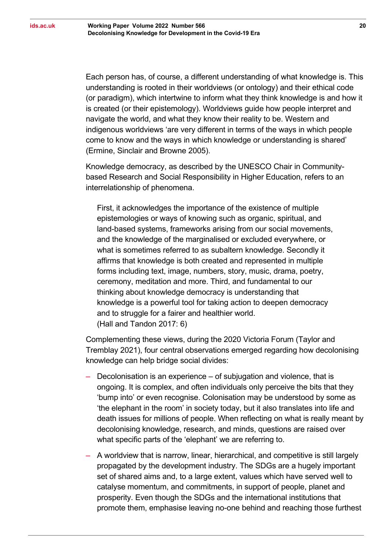Each person has, of course, a different understanding of what knowledge is. This understanding is rooted in their worldviews (or ontology) and their ethical code (or paradigm), which intertwine to inform what they think knowledge is and how it is created (or their epistemology). Worldviews guide how people interpret and navigate the world, and what they know their reality to be. Western and indigenous worldviews 'are very different in terms of the ways in which people come to know and the ways in which knowledge or understanding is shared' (Ermine, Sinclair and Browne 2005).

Knowledge democracy, as described by the UNESCO Chair in Communitybased Research and Social Responsibility in Higher Education, refers to an interrelationship of phenomena.

First, it acknowledges the importance of the existence of multiple epistemologies or ways of knowing such as organic, spiritual, and land-based systems, frameworks arising from our social movements, and the knowledge of the marginalised or excluded everywhere, or what is sometimes referred to as subaltern knowledge. Secondly it affirms that knowledge is both created and represented in multiple forms including text, image, numbers, story, music, drama, poetry, ceremony, meditation and more. Third, and fundamental to our thinking about knowledge democracy is understanding that knowledge is a powerful tool for taking action to deepen democracy and to struggle for a fairer and healthier world. (Hall and Tandon 2017: 6)

Complementing these views, during the 2020 Victoria Forum (Taylor and Tremblay 2021), four central observations emerged regarding how decolonising knowledge can help bridge social divides:

- ‒ Decolonisation is an experience of subjugation and violence, that is ongoing. It is complex, and often individuals only perceive the bits that they 'bump into' or even recognise. Colonisation may be understood by some as 'the elephant in the room' in society today, but it also translates into life and death issues for millions of people. When reflecting on what is really meant by decolonising knowledge, research, and minds, questions are raised over what specific parts of the 'elephant' we are referring to.
- ‒ A worldview that is narrow, linear, hierarchical, and competitive is still largely propagated by the development industry. The SDGs are a hugely important set of shared aims and, to a large extent, values which have served well to catalyse momentum, and commitments, in support of people, planet and prosperity. Even though the SDGs and the international institutions that promote them, emphasise leaving no-one behind and reaching those furthest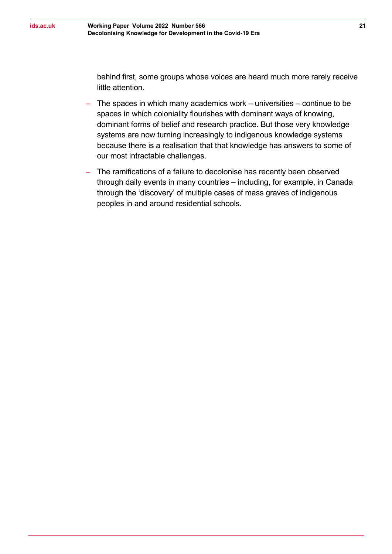behind first, some groups whose voices are heard much more rarely receive little attention.

- ‒ The spaces in which many academics work universities continue to be spaces in which coloniality flourishes with dominant ways of knowing, dominant forms of belief and research practice. But those very knowledge systems are now turning increasingly to indigenous knowledge systems because there is a realisation that that knowledge has answers to some of our most intractable challenges.
- ‒ The ramifications of a failure to decolonise has recently been observed through daily events in many countries – including, for example, in Canada through the 'discovery' of multiple cases of mass graves of indigenous peoples in and around residential schools.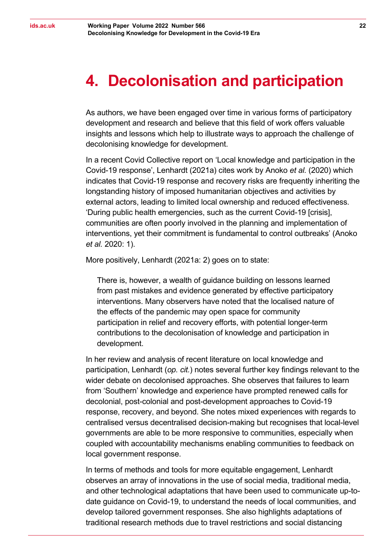### <span id="page-21-0"></span>**4. Decolonisation and participation**

As authors, we have been engaged over time in various forms of participatory development and research and believe that this field of work offers valuable insights and lessons which help to illustrate ways to approach the challenge of decolonising knowledge for development.

In a recent Covid Collective report on 'Local knowledge and participation in the Covid-19 response', Lenhardt (2021a) cites work by Anoko *et al.* (2020) which indicates that Covid-19 response and recovery risks are frequently inheriting the longstanding history of imposed humanitarian objectives and activities by external actors, leading to limited local ownership and reduced effectiveness. 'During public health emergencies, such as the current Covid-19 [crisis], communities are often poorly involved in the planning and implementation of interventions, yet their commitment is fundamental to control outbreaks' (Anoko *et al.* 2020: 1).

More positively, Lenhardt (2021a: 2) goes on to state:

There is, however, a wealth of guidance building on lessons learned from past mistakes and evidence generated by effective participatory interventions. Many observers have noted that the localised nature of the effects of the pandemic may open space for community participation in relief and recovery efforts, with potential longer-term contributions to the decolonisation of knowledge and participation in development.

In her review and analysis of recent literature on local knowledge and participation, Lenhardt (*op. cit.*) notes several further key findings relevant to the wider debate on decolonised approaches. She observes that failures to learn from 'Southern' knowledge and experience have prompted renewed calls for decolonial, post-colonial and post-development approaches to Covid-19 response, recovery, and beyond. She notes mixed experiences with regards to centralised versus decentralised decision-making but recognises that local-level governments are able to be more responsive to communities, especially when coupled with accountability mechanisms enabling communities to feedback on local government response.

In terms of methods and tools for more equitable engagement, Lenhardt observes an array of innovations in the use of social media, traditional media, and other technological adaptations that have been used to communicate up-todate guidance on Covid-19, to understand the needs of local communities, and develop tailored government responses. She also highlights adaptations of traditional research methods due to travel restrictions and social distancing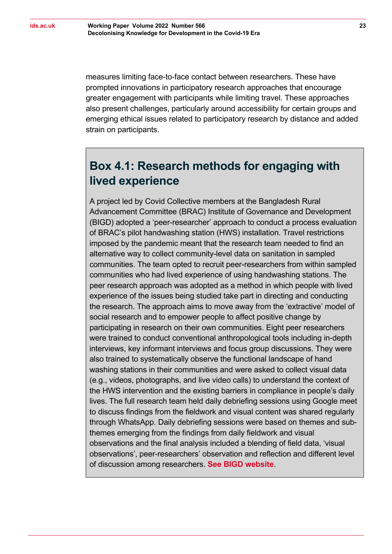measures limiting face-to-face contact between researchers. These have prompted innovations in participatory research approaches that encourage greater engagement with participants while limiting travel. These approaches also present challenges, particularly around accessibility for certain groups and emerging ethical issues related to participatory research by distance and added strain on participants.

#### <span id="page-22-0"></span>**Box 4.1: Research methods for engaging with lived experience**

A project led by Covid Collective members at the Bangladesh Rural Advancement Committee (BRAC) Institute of Governance and Development (BIGD) adopted a 'peer-researcher' approach to conduct a process evaluation of BRAC's pilot handwashing station (HWS) installation. Travel restrictions imposed by the pandemic meant that the research team needed to find an alternative way to collect community-level data on sanitation in sampled communities. The team opted to recruit peer-researchers from within sampled communities who had lived experience of using handwashing stations. The peer research approach was adopted as a method in which people with lived experience of the issues being studied take part in directing and conducting the research. The approach aims to move away from the 'extractive' model of social research and to empower people to affect positive change by participating in research on their own communities. Eight peer researchers were trained to conduct conventional anthropological tools including in-depth interviews, key informant interviews and focus group discussions. They were also trained to systematically observe the functional landscape of hand washing stations in their communities and were asked to collect visual data (e.g., videos, photographs, and live video calls) to understand the context of the HWS intervention and the existing barriers in compliance in people's daily lives. The full research team held daily debriefing sessions using Google meet to discuss findings from the fieldwork and visual content was shared regularly through WhatsApp. Daily debriefing sessions were based on themes and subthemes emerging from the findings from daily fieldwork and visual observations and the final analysis included a blending of field data, 'visual observations', peer-researchers' observation and reflection and different level of discussion among researchers. **[See BIGD website](https://bigd.bracu.ac.bd/study/hand-washing-station-a-rapid-process-evaluation-and-community-perception/)**.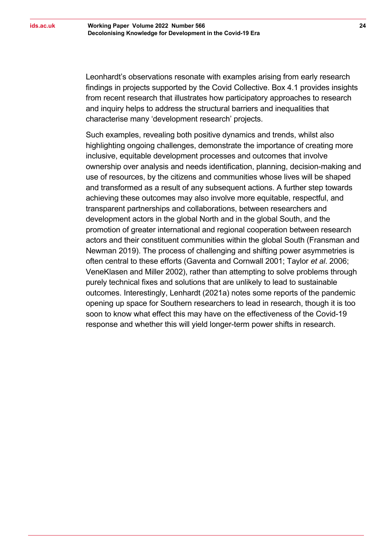Leonhardt's observations resonate with examples arising from early research findings in projects supported by the Covid Collective. Box 4.1 provides insights from recent research that illustrates how participatory approaches to research and inquiry helps to address the structural barriers and inequalities that characterise many 'development research' projects.

Such examples, revealing both positive dynamics and trends, whilst also highlighting ongoing challenges, demonstrate the importance of creating more inclusive, equitable development processes and outcomes that involve ownership over analysis and needs identification, planning, decision-making and use of resources, by the citizens and communities whose lives will be shaped and transformed as a result of any subsequent actions. A further step towards achieving these outcomes may also involve more equitable, respectful, and transparent partnerships and collaborations, between researchers and development actors in the global North and in the global South, and the promotion of greater international and regional cooperation between research actors and their constituent communities within the global South (Fransman and Newman 2019). The process of challenging and shifting power asymmetries is often central to these efforts (Gaventa and Cornwall 2001; Taylor *et al*. 2006; VeneKlasen and Miller 2002), rather than attempting to solve problems through purely technical fixes and solutions that are unlikely to lead to sustainable outcomes. Interestingly, Lenhardt (2021a) notes some reports of the pandemic opening up space for Southern researchers to lead in research, though it is too soon to know what effect this may have on the effectiveness of the Covid-19 response and whether this will yield longer-term power shifts in research.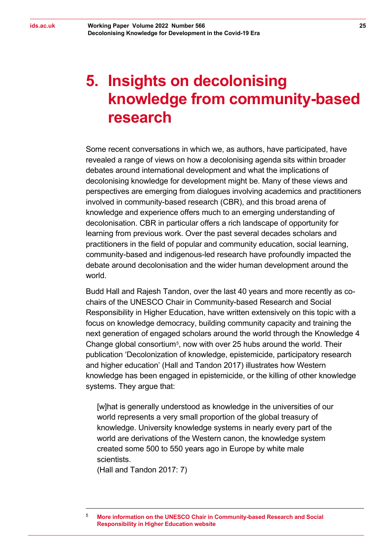# <span id="page-24-0"></span>**5. Insights on decolonising knowledge from community-based research**

Some recent conversations in which we, as authors, have participated, have revealed a range of views on how a decolonising agenda sits within broader debates around international development and what the implications of decolonising knowledge for development might be. Many of these views and perspectives are emerging from dialogues involving academics and practitioners involved in community-based research (CBR), and this broad arena of knowledge and experience offers much to an emerging understanding of decolonisation. CBR in particular offers a rich landscape of opportunity for learning from previous work. Over the past several decades scholars and practitioners in the field of popular and community education, social learning, community-based and indigenous-led research have profoundly impacted the debate around decolonisation and the wider human development around the world.

Budd Hall and Rajesh Tandon, over the last 40 years and more recently as cochairs of the UNESCO Chair in Community-based Research and Social Responsibility in Higher Education, have written extensively on this topic with a focus on knowledge democracy, building community capacity and training the next generation of engaged scholars around the world through the Knowledge 4 Change global consortium[5,](#page-24-1) now with over 25 hubs around the world. Their publication 'Decolonization of knowledge, epistemicide, participatory research and higher education' (Hall and Tandon 2017) illustrates how Western knowledge has been engaged in epistemicide, or the killing of other knowledge systems. They argue that:

[w]hat is generally understood as knowledge in the universities of our world represents a very small proportion of the global treasury of knowledge. University knowledge systems in nearly every part of the world are derivations of the Western canon, the knowledge system created some 500 to 550 years ago in Europe by white male scientists.

(Hall and Tandon 2017: 7)

<span id="page-24-1"></span><sup>5</sup> **More information on the [UNESCO Chair in Community-based Research and Social](https://www.unescochair-cbrsr.org/k4c-2/)  [Responsibility in Higher Education website](https://www.unescochair-cbrsr.org/k4c-2/)**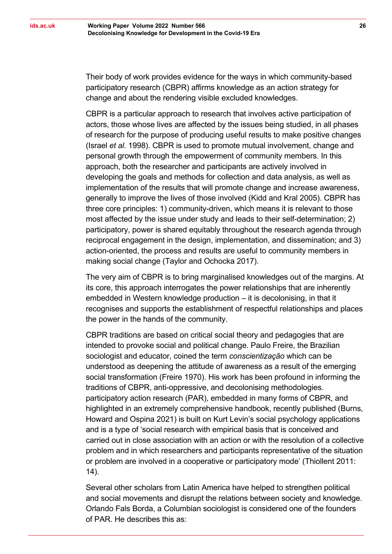Their body of work provides evidence for the ways in which community-based participatory research (CBPR) affirms knowledge as an action strategy for change and about the rendering visible excluded knowledges.

CBPR is a particular approach to research that involves active participation of actors, those whose lives are affected by the issues being studied, in all phases of research for the purpose of producing useful results to make positive changes (Israel *et al.* 1998). CBPR is used to promote mutual involvement, change and personal growth through the empowerment of community members. In this approach, both the researcher and participants are actively involved in developing the goals and methods for collection and data analysis, as well as implementation of the results that will promote change and increase awareness, generally to improve the lives of those involved (Kidd and Kral 2005). CBPR has three core principles: 1) community-driven, which means it is relevant to those most affected by the issue under study and leads to their self-determination; 2) participatory, power is shared equitably throughout the research agenda through reciprocal engagement in the design, implementation, and dissemination; and 3) action-oriented, the process and results are useful to community members in making social change (Taylor and Ochocka 2017).

The very aim of CBPR is to bring marginalised knowledges out of the margins. At its core, this approach interrogates the power relationships that are inherently embedded in Western knowledge production – it is decolonising, in that it recognises and supports the establishment of respectful relationships and places the power in the hands of the community.

CBPR traditions are based on critical social theory and pedagogies that are intended to provoke social and political change. Paulo Freire, the Brazilian sociologist and educator, coined the term *conscientização* which can be understood as deepening the attitude of awareness as a result of the emerging social transformation (Freire 1970). His work has been profound in informing the traditions of CBPR, anti-oppressive, and decolonising methodologies. participatory action research (PAR), embedded in many forms of CBPR, and highlighted in an extremely comprehensive handbook, recently published (Burns, Howard and Ospina 2021) is built on Kurt Levin's social psychology applications and is a type of 'social research with empirical basis that is conceived and carried out in close association with an action or with the resolution of a collective problem and in which researchers and participants representative of the situation or problem are involved in a cooperative or participatory mode' (Thiollent 2011: 14).

Several other scholars from Latin America have helped to strengthen political and social movements and disrupt the relations between society and knowledge. Orlando Fals Borda, a Columbian sociologist is considered one of the founders of PAR. He describes this as: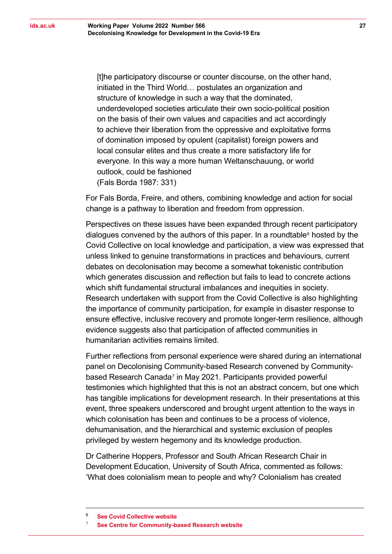[t]he participatory discourse or counter discourse, on the other hand, initiated in the Third World… postulates an organization and structure of knowledge in such a way that the dominated, underdeveloped societies articulate their own socio-political position on the basis of their own values and capacities and act accordingly to achieve their liberation from the oppressive and exploitative forms of domination imposed by opulent (capitalist) foreign powers and local consular elites and thus create a more satisfactory life for everyone. In this way a more human Weltanschauung, or world outlook, could be fashioned (Fals Borda 1987: 331)

For Fals Borda, Freire, and others, combining knowledge and action for social change is a pathway to liberation and freedom from oppression.

Perspectives on these issues have been expanded through recent participatory dialogues convened by the authors of this paper. In a roundtable $<sup>6</sup>$  $<sup>6</sup>$  $<sup>6</sup>$  hosted by the</sup> Covid Collective on local knowledge and participation, a view was expressed that unless linked to genuine transformations in practices and behaviours, current debates on decolonisation may become a somewhat tokenistic contribution which generates discussion and reflection but fails to lead to concrete actions which shift fundamental structural imbalances and inequities in society. Research undertaken with support from the Covid Collective is also highlighting the importance of community participation, for example in disaster response to ensure effective, inclusive recovery and promote longer-term resilience, although evidence suggests also that participation of affected communities in humanitarian activities remains limited.

Further reflections from personal experience were shared during an international panel on Decolonising Community-based Research convened by Community-based Research Canada<sup>[7](#page-26-1)</sup> in May 2021. Participants provided powerful testimonies which highlighted that this is not an abstract concern, but one which has tangible implications for development research. In their presentations at this event, three speakers underscored and brought urgent attention to the ways in which colonisation has been and continues to be a process of violence, dehumanisation, and the hierarchical and systemic exclusion of peoples privileged by western hegemony and its knowledge production.

Dr Catherine Hoppers, Professor and South African Research Chair in Development Education, University of South Africa, commented as follows: 'What does colonialism mean to people and why? Colonialism has created

<span id="page-26-1"></span><span id="page-26-0"></span><sup>6</sup> **[See Covid Collective website](https://www.covid-collective.net/what-local-responses-to-covid-19-can-teach-us-about-decolonising-development/)**

**[See Centre for Community-based Research website](https://www.communitybasedresearch.ca/post/decolonizing-community-based-research)**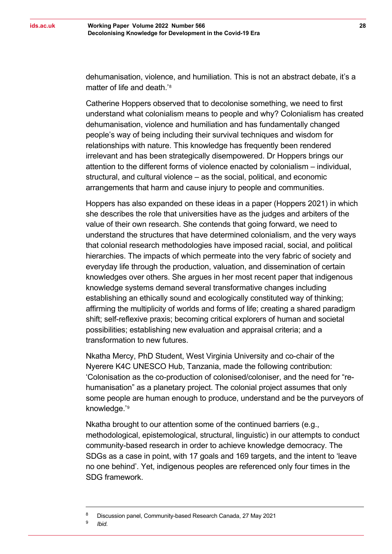dehumanisation, violence, and humiliation. This is not an abstract debate, it's a matter of life and death.' [8](#page-27-0)

Catherine Hoppers observed that to decolonise something, we need to first understand what colonialism means to people and why? Colonialism has created dehumanisation, violence and humiliation and has fundamentally changed people's way of being including their survival techniques and wisdom for relationships with nature. This knowledge has frequently been rendered irrelevant and has been strategically disempowered. Dr Hoppers brings our attention to the different forms of violence enacted by colonialism – individual, structural, and cultural violence – as the social, political, and economic arrangements that harm and cause injury to people and communities.

Hoppers has also expanded on these ideas in a paper (Hoppers 2021) in which she describes the role that universities have as the judges and arbiters of the value of their own research. She contends that going forward, we need to understand the structures that have determined colonialism, and the very ways that colonial research methodologies have imposed racial, social, and political hierarchies. The impacts of which permeate into the very fabric of society and everyday life through the production, valuation, and dissemination of certain knowledges over others. She argues in her most recent paper that indigenous knowledge systems demand several transformative changes including establishing an ethically sound and ecologically constituted way of thinking; affirming the multiplicity of worlds and forms of life; creating a shared paradigm shift; self-reflexive praxis; becoming critical explorers of human and societal possibilities; establishing new evaluation and appraisal criteria; and a transformation to new futures.

Nkatha Mercy, PhD Student, West Virginia University and co-chair of the Nyerere K4C UNESCO Hub, Tanzania, made the following contribution: 'Colonisation as the co-production of colonised/coloniser, and the need for "rehumanisation" as a planetary project. The colonial project assumes that only some people are human enough to produce, understand and be the purveyors of knowledge.' [9](#page-27-1)

Nkatha brought to our attention some of the continued barriers (e.g., methodological, epistemological, structural, linguistic) in our attempts to conduct community-based research in order to achieve knowledge democracy. The SDGs as a case in point, with 17 goals and 169 targets, and the intent to 'leave no one behind'. Yet, indigenous peoples are referenced only four times in the SDG framework.

<sup>9</sup> *Ibid.*

<span id="page-27-1"></span><span id="page-27-0"></span><sup>&</sup>lt;sup>8</sup> Discussion panel, Community-based Research Canada, 27 May 2021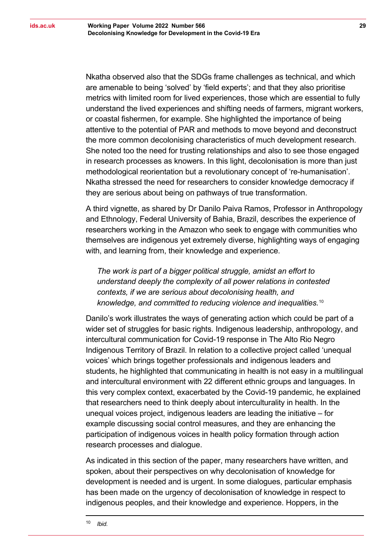Nkatha observed also that the SDGs frame challenges as technical, and which are amenable to being 'solved' by 'field experts'; and that they also prioritise metrics with limited room for lived experiences, those which are essential to fully understand the lived experiences and shifting needs of farmers, migrant workers, or coastal fishermen, for example. She highlighted the importance of being attentive to the potential of PAR and methods to move beyond and deconstruct the more common decolonising characteristics of much development research. She noted too the need for trusting relationships and also to see those engaged in research processes as knowers. In this light, decolonisation is more than just methodological reorientation but a revolutionary concept of 're-humanisation'. Nkatha stressed the need for researchers to consider knowledge democracy if they are serious about being on pathways of true transformation.

A third vignette, as shared by Dr Danilo Paiva Ramos, Professor in Anthropology and Ethnology, Federal University of Bahia, Brazil, describes the experience of researchers working in the Amazon who seek to engage with communities who themselves are indigenous yet extremely diverse, highlighting ways of engaging with, and learning from, their knowledge and experience.

*The work is part of a bigger political struggle, amidst an effort to understand deeply the complexity of all power relations in contested contexts, if we are serious about decolonising health, and knowledge, and committed to reducing violence and inequalities.*[10](#page-28-0)

Danilo's work illustrates the ways of generating action which could be part of a wider set of struggles for basic rights. Indigenous leadership, anthropology, and intercultural communication for Covid-19 response in The Alto Rio Negro Indigenous Territory of Brazil. In relation to a collective project called 'unequal voices' which brings together professionals and indigenous leaders and students, he highlighted that communicating in health is not easy in a multilingual and intercultural environment with 22 different ethnic groups and languages. In this very complex context, exacerbated by the Covid-19 pandemic, he explained that researchers need to think deeply about interculturality in health. In the unequal voices project, indigenous leaders are leading the initiative – for example discussing social control measures, and they are enhancing the participation of indigenous voices in health policy formation through action research processes and dialogue.

<span id="page-28-0"></span>As indicated in this section of the paper, many researchers have written, and spoken, about their perspectives on why decolonisation of knowledge for development is needed and is urgent. In some dialogues, particular emphasis has been made on the urgency of decolonisation of knowledge in respect to indigenous peoples, and their knowledge and experience. Hoppers, in the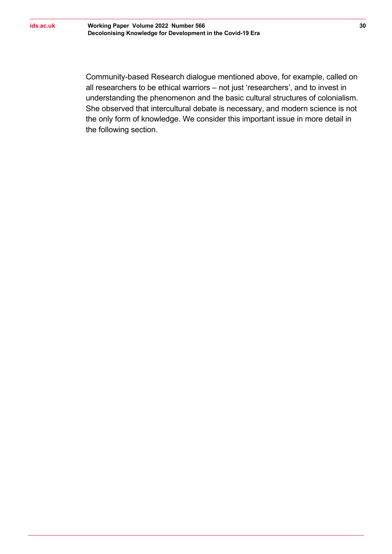Community-based Research dialogue mentioned above, for example, called on all researchers to be ethical warriors – not just 'researchers', and to invest in understanding the phenomenon and the basic cultural structures of colonialism. She observed that intercultural debate is necessary, and modern science is not the only form of knowledge. We consider this important issue in more detail in the following section.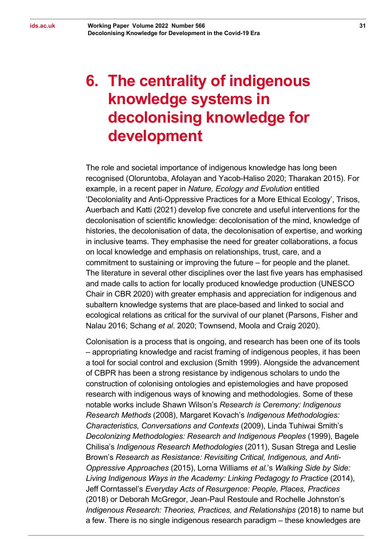# <span id="page-30-0"></span>**6. The centrality of indigenous knowledge systems in decolonising knowledge for development**

The role and societal importance of indigenous knowledge has long been recognised (Oloruntoba, Afolayan and Yacob-Haliso 2020; Tharakan 2015). For example, in a recent paper in *Nature, Ecology and Evolution* entitled 'Decoloniality and Anti-Oppressive Practices for a More Ethical Ecology', Trisos, Auerbach and Katti (2021) develop five concrete and useful interventions for the decolonisation of scientific knowledge: decolonisation of the mind, knowledge of histories, the decolonisation of data, the decolonisation of expertise, and working in inclusive teams. They emphasise the need for greater collaborations, a focus on local knowledge and emphasis on relationships, trust, care, and a commitment to sustaining or improving the future – for people and the planet. The literature in several other disciplines over the last five years has emphasised and made calls to action for locally produced knowledge production (UNESCO Chair in CBR 2020) with greater emphasis and appreciation for indigenous and subaltern knowledge systems that are place-based and linked to social and ecological relations as critical for the survival of our planet (Parsons, Fisher and Nalau 2016; Schang *et al*. 2020; Townsend, Moola and Craig 2020).

Colonisation is a process that is ongoing, and research has been one of its tools – appropriating knowledge and racist framing of indigenous peoples, it has been a tool for social control and exclusion (Smith 1999). Alongside the advancement of CBPR has been a strong resistance by indigenous scholars to undo the construction of colonising ontologies and epistemologies and have proposed research with indigenous ways of knowing and methodologies. Some of these notable works include Shawn Wilson's *Research is Ceremony: Indigenous Research Methods* (2008), Margaret Kovach's *Indigenous Methodologies: Characteristics, Conversations and Contexts* (2009), Linda Tuhiwai Smith's *Decolonizing Methodologies: Research and Indigenous Peoples* (1999), Bagele Chilisa's *Indigenous Research Methodologies* (2011), Susan Strega and Leslie Brown's *Research as Resistance: Revisiting Critical, Indigenous, and Anti-Oppressive Approaches* (2015), Lorna Williams *et al.*'s *Walking Side by Side: Living Indigenous Ways in the Academy: Linking Pedagogy to Practice* (2014), Jeff Corntassel's *Everyday Acts of Resurgence: People, Places, Practices* (2018) or Deborah McGregor, Jean-Paul Restoule and Rochelle Johnston's *Indigenous Research: Theories, Practices, and Relationships* (2018) to name but a few. There is no single indigenous research paradigm – these knowledges are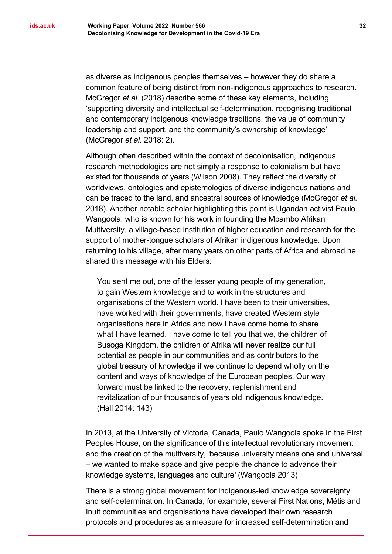as diverse as indigenous peoples themselves – however they do share a common feature of being distinct from non-indigenous approaches to research. McGregor *et al*. (2018) describe some of these key elements, including 'supporting diversity and intellectual self-determination, recognising traditional and contemporary indigenous knowledge traditions, the value of community leadership and support, and the community's ownership of knowledge' (McGregor *et al.* 2018: 2).

Although often described within the context of decolonisation, indigenous research methodologies are not simply a response to colonialism but have existed for thousands of years (Wilson 2008). They reflect the diversity of worldviews, ontologies and epistemologies of diverse indigenous nations and can be traced to the land, and ancestral sources of knowledge (McGregor *et al.* 2018). Another notable scholar highlighting this point is Ugandan activist Paulo Wangoola, who is known for his work in founding the Mpambo Afrikan Multiversity, a village-based institution of higher education and research for the support of mother-tongue scholars of Afrikan indigenous knowledge. Upon returning to his village, after many years on other parts of Africa and abroad he shared this message with his Elders:

You sent me out, one of the lesser young people of my generation, to gain Western knowledge and to work in the structures and organisations of the Western world. I have been to their universities, have worked with their governments, have created Western style organisations here in Africa and now I have come home to share what I have learned. I have come to tell you that we, the children of Busoga Kingdom, the children of Afrika will never realize our full potential as people in our communities and as contributors to the global treasury of knowledge if we continue to depend wholly on the content and ways of knowledge of the European peoples. Our way forward must be linked to the recovery, replenishment and revitalization of our thousands of years old indigenous knowledge. (Hall 2014: 143)

In 2013, at the University of Victoria, Canada, Paulo Wangoola spoke in the First Peoples House, on the significance of this intellectual revolutionary movement and the creation of the multiversity, *'*because university means one and universal – we wanted to make space and give people the chance to advance their knowledge systems, languages and culture*'* (Wangoola 2013)

There is a strong global movement for indigenous-led knowledge sovereignty and self-determination. In Canada, for example, several First Nations, Métis and Inuit communities and organisations have developed their own research protocols and procedures as a measure for increased self-determination and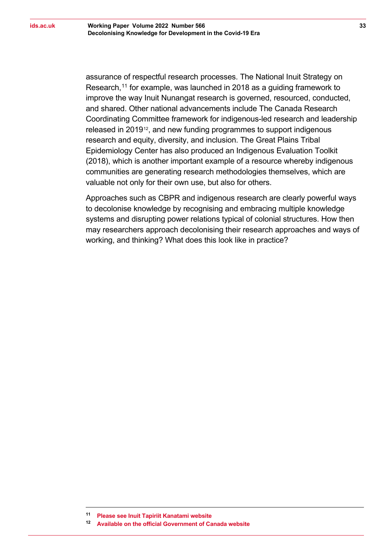assurance of respectful research processes. The National Inuit Strategy on Research, [11](#page-32-0) for example, was launched in 2018 as a guiding framework to improve the way Inuit Nunangat research is governed, resourced, conducted, and shared. Other national advancements include The Canada Research Coordinating Committee framework for indigenous-led research and leadership released in 2019<sup>[12](#page-32-1)</sup>, and new funding programmes to support indigenous research and equity, diversity, and inclusion. The Great Plains Tribal Epidemiology Center has also produced an Indigenous Evaluation Toolkit (2018), which is another important example of a resource whereby indigenous communities are generating research methodologies themselves, which are valuable not only for their own use, but also for others.

Approaches such as CBPR and indigenous research are clearly powerful ways to decolonise knowledge by recognising and embracing multiple knowledge systems and disrupting power relations typical of colonial structures. How then may researchers approach decolonising their research approaches and ways of working, and thinking? What does this look like in practice?

<span id="page-32-0"></span>**<sup>11</sup> [Please see Inuit Tapiriit Kanatami website](https://www.itk.ca/wp-content/uploads/2018/04/ITK_NISR-Report_English_low_res.pdf)**

<span id="page-32-1"></span>**<sup>12</sup> Available on the official [Government of Canada website](https://www.canada.ca/content/dam/crcc-ccrc/documents/strategic-plan-2019-2022/sirc_strategic_plan-eng.pdf)**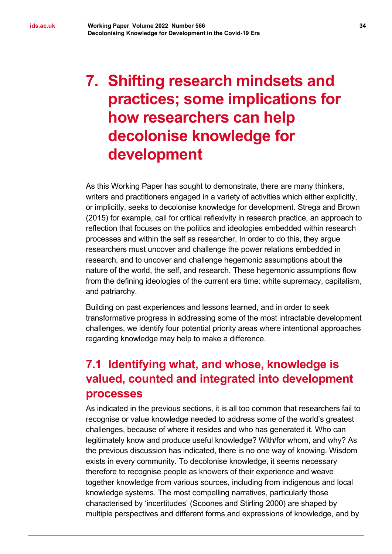# <span id="page-33-0"></span>**7. Shifting research mindsets and practices; some implications for how researchers can help decolonise knowledge for development**

As this Working Paper has sought to demonstrate, there are many thinkers, writers and practitioners engaged in a variety of activities which either explicitly, or implicitly, seeks to decolonise knowledge for development. Strega and Brown (2015) for example, call for critical reflexivity in research practice, an approach to reflection that focuses on the politics and ideologies embedded within research processes and within the self as researcher. In order to do this, they argue researchers must uncover and challenge the power relations embedded in research, and to uncover and challenge hegemonic assumptions about the nature of the world, the self, and research. These hegemonic assumptions flow from the defining ideologies of the current era time: white supremacy, capitalism, and patriarchy.

Building on past experiences and lessons learned, and in order to seek transformative progress in addressing some of the most intractable development challenges, we identify four potential priority areas where intentional approaches regarding knowledge may help to make a difference.

#### <span id="page-33-1"></span>**7.1 Identifying what, and whose, knowledge is valued, counted and integrated into development processes**

As indicated in the previous sections, it is all too common that researchers fail to recognise or value knowledge needed to address some of the world's greatest challenges, because of where it resides and who has generated it. Who can legitimately know and produce useful knowledge? With/for whom, and why? As the previous discussion has indicated, there is no one way of knowing. Wisdom exists in every community. To decolonise knowledge, it seems necessary therefore to recognise people as knowers of their experience and weave together knowledge from various sources, including from indigenous and local knowledge systems. The most compelling narratives, particularly those characterised by 'incertitudes' (Scoones and Stirling 2000) are shaped by multiple perspectives and different forms and expressions of knowledge, and by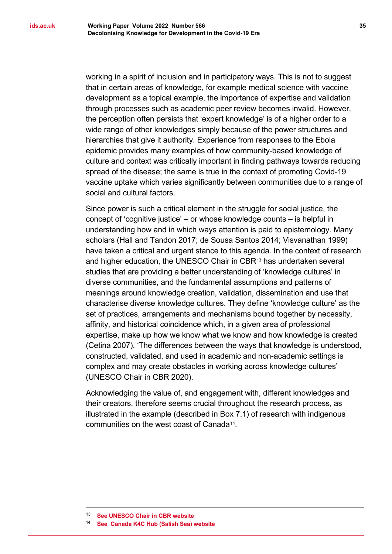working in a spirit of inclusion and in participatory ways. This is not to suggest that in certain areas of knowledge, for example medical science with vaccine development as a topical example, the importance of expertise and validation through processes such as academic peer review becomes invalid. However, the perception often persists that 'expert knowledge' is of a higher order to a wide range of other knowledges simply because of the power structures and hierarchies that give it authority. Experience from responses to the Ebola epidemic provides many examples of how community-based knowledge of culture and context was critically important in finding pathways towards reducing spread of the disease; the same is true in the context of promoting Covid-19 vaccine uptake which varies significantly between communities due to a range of social and cultural factors.

Since power is such a critical element in the struggle for social justice, the concept of 'cognitive justice' – or whose knowledge counts – is helpful in understanding how and in which ways attention is paid to epistemology. Many scholars (Hall and Tandon 2017; de Sousa Santos 2014; Visvanathan 1999) have taken a critical and urgent stance to this agenda. In the context of research and higher education, the UNESCO Chair in CBR[13](#page-34-0) has undertaken several studies that are providing a better understanding of 'knowledge cultures' in diverse communities, and the fundamental assumptions and patterns of meanings around knowledge creation, validation, dissemination and use that characterise diverse knowledge cultures. They define 'knowledge culture' as the set of practices, arrangements and mechanisms bound together by necessity, affinity, and historical coincidence which, in a given area of professional expertise, make up how we know what we know and how knowledge is created (Cetina 2007). 'The differences between the ways that knowledge is understood, constructed, validated, and used in academic and non-academic settings is complex and may create obstacles in working across knowledge cultures' (UNESCO Chair in CBR 2020).

Acknowledging the value of, and engagement with, different knowledges and their creators, therefore seems crucial throughout the research process, as illustrated in the example (described in Box 7.1) of research with indigenous communities on the west coast of Canada[14.](#page-34-1)

<span id="page-34-0"></span><sup>13</sup> **[See UNESCO Chair in CBR website](https://www.unescochair-cbrsr.org/)**

<span id="page-34-1"></span><sup>14</sup> **See [Canada K4C Hub \(Salish Sea\) website](https://www.unescochair-cbrsr.org/canada-k4c-hub/)**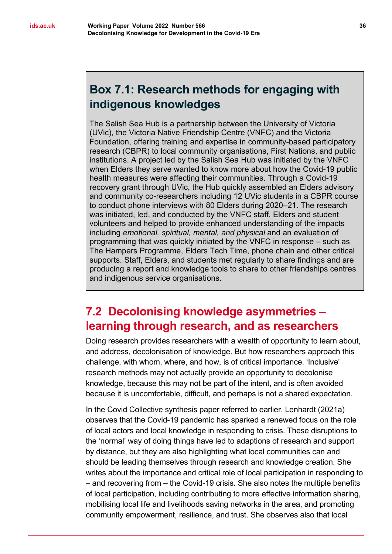<span id="page-35-1"></span>The Salish Sea Hub is a partnership between the University of Victoria (UVic), the Victoria Native Friendship Centre (VNFC) and the Victoria Foundation, offering training and expertise in community-based participatory research (CBPR) to local community organisations, First Nations, and public institutions. A project led by the Salish Sea Hub was initiated by the VNFC when Elders they serve wanted to know more about how the Covid-19 public health measures were affecting their communities. Through a Covid-19 recovery grant through UVic, the Hub quickly assembled an Elders advisory and community co-researchers including 12 UVic students in a CBPR course to conduct phone interviews with 80 Elders during 2020–21. The research was initiated, led, and conducted by the VNFC staff, Elders and student volunteers and helped to provide enhanced understanding of the impacts including *emotional, spiritual, mental, and physical* and an evaluation of programming that was quickly initiated by the VNFC in response – such as The Hampers Programme, Elders Tech Time, phone chain and other critical supports. Staff, Elders, and students met regularly to share findings and are producing a report and knowledge tools to share to other friendships centres and indigenous service organisations.

#### <span id="page-35-0"></span>**7.2 Decolonising knowledge asymmetries – learning through research, and as researchers**

Doing research provides researchers with a wealth of opportunity to learn about, and address, decolonisation of knowledge. But how researchers approach this challenge, with whom, where, and how, is of critical importance. 'Inclusive' research methods may not actually provide an opportunity to decolonise knowledge, because this may not be part of the intent, and is often avoided because it is uncomfortable, difficult, and perhaps is not a shared expectation.

In the Covid Collective synthesis paper referred to earlier, Lenhardt (2021a) observes that the Covid-19 pandemic has sparked a renewed focus on the role of local actors and local knowledge in responding to crisis. These disruptions to the 'normal' way of doing things have led to adaptions of research and support by distance, but they are also highlighting what local communities can and should be leading themselves through research and knowledge creation. She writes about the importance and critical role of local participation in responding to – and recovering from – the Covid-19 crisis. She also notes the multiple benefits of local participation, including contributing to more effective information sharing, mobilising local [life and livelihoods saving networks in the area,](https://pubmed.ncbi.nlm.nih.gov/28452127/) and promoting community empowerment, resilience, and trust. She observes also that local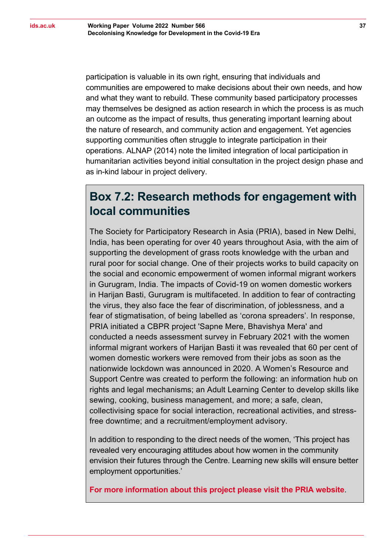participation is valuable in its own right, ensuring that individuals and communities are empowered to make decisions about their own needs, and how and what they want to rebuild. These community based participatory processes may themselves be designed as action research in which the process is as much an outcome as the impact of results, thus generating important learning about the nature of research, and community action and engagement. Yet agencies supporting communities often struggle to integrate participation in their operations. ALNAP (2014) note the limited integration of local participation in humanitarian activities beyond initial consultation in the project design phase and as in-kind labour in project delivery.

#### <span id="page-36-0"></span>**Box 7.2: Research methods for engagement with local communities**

The Society for Participatory Research in Asia (PRIA), based in New Delhi, India, has been operating for over 40 years throughout Asia, with the aim of supporting the development of grass roots knowledge with the urban and rural poor for social change. One of their projects works to build capacity on the social and economic empowerment of women informal migrant workers in Gurugram, India. The impacts of Covid-19 on women domestic workers in Harijan Basti, Gurugram is multifaceted. In addition to fear of contracting the virus, they also face the fear of discrimination, of joblessness, and a fear of stigmatisation, of being labelled as 'corona spreaders'. In response, PRIA initiated a CBPR project 'Sapne Mere, Bhavishya Mera' and conducted a needs assessment survey in February 2021 with the women informal migrant workers of Harijan Basti it was revealed that 60 per cent of women domestic workers were removed from their jobs as soon as the nationwide lockdown was announced in 2020. A Women's Resource and Support Centre was created to perform the following: an information hub on rights and legal mechanisms; an Adult Learning Center to develop skills like sewing, cooking, business management, and more; a safe, clean, collectivising space for social interaction, recreational activities, and stressfree downtime; and a recruitment/employment advisory.

In addition to responding to the direct needs of the women, 'This project has revealed very encouraging attitudes about how women in the community envision their futures through the Centre. Learning new skills will ensure better employment opportunities.'

**[For more information about this project please visit the PRIA website](https://www.pria.org/updates-sapne-mere-bhavishya-mera-women-domestic-workers-envision-a-sustainable-future-30-587)**.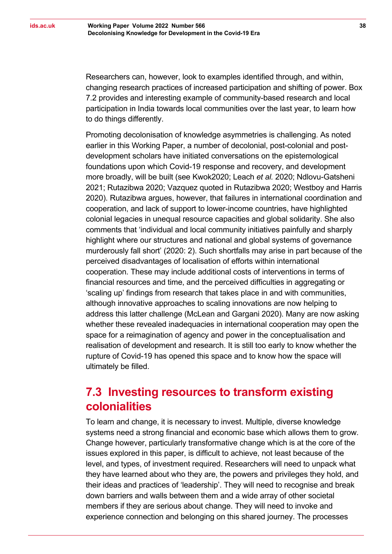Researchers can, however, look to examples identified through, and within, changing research practices of increased participation and shifting of power. Box 7.2 provides and interesting example of community-based research and local participation in India towards local communities over the last year, to learn how to do things differently.

Promoting decolonisation of knowledge asymmetries is challenging. As noted earlier in this Working Paper, a number of decolonial, post-colonial and postdevelopment scholars have initiated conversations on the epistemological foundations upon which Covid-19 response and recovery, and development more broadly, will be built (see Kwok2020; Leach *et al.* 2020; Ndlovu-Gatsheni 2021; Rutazibwa 2020; Vazquez quoted in Rutazibwa 2020; Westboy and Harris 2020). Rutazibwa argues, however, that failures in international coordination and cooperation, and lack of support to lower-income countries, have highlighted colonial legacies in unequal resource capacities and global solidarity. She also comments that 'individual and local community initiatives painfully and sharply highlight where our structures and national and global systems of governance murderously fall short' (2020: 2). Such shortfalls may arise in part because of the perceived disadvantages of localisation of efforts within international cooperation. These may include additional costs of interventions in terms of financial resources and time, and the perceived difficulties in aggregating or 'scaling up' findings from research that takes place in and with communities, although innovative approaches to scaling innovations are now helping to address this latter challenge (McLean and Gargani 2020). Many are now asking whether these revealed inadequacies in international cooperation may open the space for a reimagination of agency and power in the conceptualisation and realisation of development and research. It is still too early to know whether the rupture of Covid-19 has opened this space and to know how the space will ultimately be filled.

#### <span id="page-37-0"></span>**7.3 Investing resources to transform existing colonialities**

To learn and change, it is necessary to invest. Multiple, diverse knowledge systems need a strong financial and economic base which allows them to grow. Change however, particularly transformative change which is at the core of the issues explored in this paper, is difficult to achieve, not least because of the level, and types, of investment required. Researchers will need to unpack what they have learned about who they are, the powers and privileges they hold, and their ideas and practices of 'leadership'. They will need to recognise and break down barriers and walls between them and a wide array of other societal members if they are serious about change. They will need to invoke and experience connection and belonging on this shared journey. The processes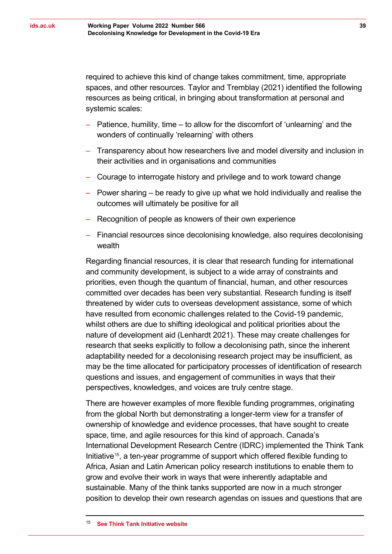required to achieve this kind of change takes commitment, time, appropriate spaces, and other resources. Taylor and Tremblay (2021) identified the following resources as being critical, in bringing about transformation at personal and systemic scales:

- ‒ Patience, humility, time to allow for the discomfort of 'unlearning' and the wonders of continually 'relearning' with others
- ‒ Transparency about how researchers live and model diversity and inclusion in their activities and in organisations and communities
- ‒ Courage to interrogate history and privilege and to work toward change
- $-$  Power sharing  $-$  be ready to give up what we hold individually and realise the outcomes will ultimately be positive for all
- ‒ Recognition of people as knowers of their own experience
- ‒ Financial resources since decolonising knowledge, also requires decolonising wealth

Regarding financial resources, it is clear that research funding for international and community development, is subject to a wide array of constraints and priorities, even though the quantum of financial, human, and other resources committed over decades has been very substantial. Research funding is itself threatened by wider cuts to overseas development assistance, some of which have resulted from economic challenges related to the Covid-19 pandemic, whilst others are due to shifting ideological and political priorities about the nature of development aid (Lenhardt 2021). These may create challenges for research that seeks explicitly to follow a decolonising path, since the inherent adaptability needed for a decolonising research project may be insufficient, as may be the time allocated for participatory processes of identification of research questions and issues, and engagement of communities in ways that their perspectives, knowledges, and voices are truly centre stage.

There are however examples of more flexible funding programmes, originating from the global North but demonstrating a longer-term view for a transfer of ownership of knowledge and evidence processes, that have sought to create space, time, and agile resources for this kind of approach. Canada's International Development Research Centre (IDRC) implemented the Think Tank Initiative[15](#page-38-0), a ten-year programme of support which offered flexible funding to Africa, Asian and Latin American policy research institutions to enable them to grow and evolve their work in ways that were inherently adaptable and sustainable. Many of the think tanks supported are now in a much stronger position to develop their own research agendas on issues and questions that are

<span id="page-38-0"></span><sup>15</sup> **[See Think Tank Initiative website](http://www.thinktankinitiative.org/)**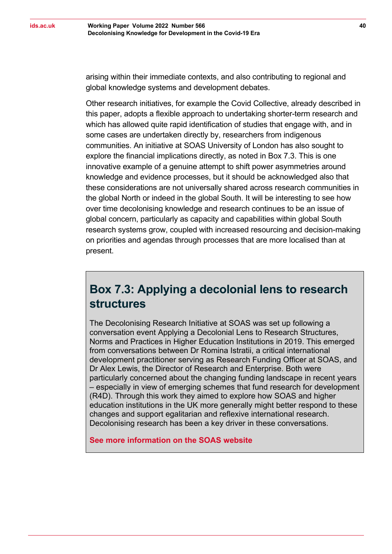arising within their immediate contexts, and also contributing to regional and global knowledge systems and development debates.

Other research initiatives, for example the Covid Collective, already described in this paper, adopts a flexible approach to undertaking shorter-term research and which has allowed quite rapid identification of studies that engage with, and in some cases are undertaken directly by, researchers from indigenous communities. An initiative at SOAS University of London has also sought to explore the financial implications directly, as noted in Box 7.3. This is one innovative example of a genuine attempt to shift power asymmetries around knowledge and evidence processes, but it should be acknowledged also that these considerations are not universally shared across research communities in the global North or indeed in the global South. It will be interesting to see how over time decolonising knowledge and research continues to be an issue of global concern, particularly as capacity and capabilities within global South research systems grow, coupled with increased resourcing and decision-making on priorities and agendas through processes that are more localised than at present.

#### <span id="page-39-0"></span>**Box 7.3: Applying a decolonial lens to research structures**

The Decolonising Research Initiative at SOAS was set up following a conversation event Applying a Decolonial Lens to Research Structures, Norms and Practices in Higher Education Institutions in 2019. This emerged from conversations between Dr Romina Istratii, a critical international development practitioner serving as Research Funding Officer at SOAS, and Dr Alex Lewis, the Director of Research and Enterprise. Both were particularly concerned about the changing funding landscape in recent years – especially in view of emerging schemes that fund research for development (R4D). Through this work they aimed to explore how SOAS and higher education institutions in the UK more generally might better respond to these changes and support egalitarian and reflexive international research. Decolonising research has been a key driver in these conversations.

**[See more information on the SOAS website](https://www.soas.ac.uk/research/researchstrategy/decolonising-research-initiative/)**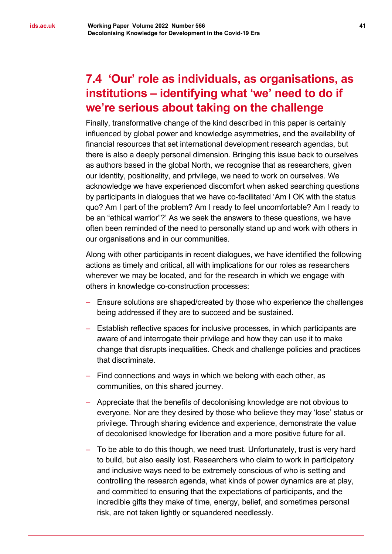#### <span id="page-40-0"></span>**7.4 'Our' role as individuals, as organisations, as institutions – identifying what 'we' need to do if we're serious about taking on the challenge**

Finally, transformative change of the kind described in this paper is certainly influenced by global power and knowledge asymmetries, and the availability of financial resources that set international development research agendas, but there is also a deeply personal dimension. Bringing this issue back to ourselves as authors based in the global North, we recognise that as researchers, given our identity, positionality, and privilege, we need to work on ourselves. We acknowledge we have experienced discomfort when asked searching questions by participants in dialogues that we have co-facilitated 'Am I OK with the status quo? Am I part of the problem? Am I ready to feel uncomfortable? Am I ready to be an "ethical warrior"?' As we seek the answers to these questions, we have often been reminded of the need to personally stand up and work with others in our organisations and in our communities.

Along with other participants in recent dialogues, we have identified the following actions as timely and critical, all with implications for our roles as researchers wherever we may be located, and for the research in which we engage with others in knowledge co-construction processes:

- ‒ Ensure solutions are shaped/created by those who experience the challenges being addressed if they are to succeed and be sustained.
- ‒ Establish reflective spaces for inclusive processes, in which participants are aware of and interrogate their privilege and how they can use it to make change that disrupts inequalities. Check and challenge policies and practices that discriminate.
- ‒ Find connections and ways in which we belong with each other, as communities, on this shared journey.
- ‒ Appreciate that the benefits of decolonising knowledge are not obvious to everyone. Nor are they desired by those who believe they may 'lose' status or privilege. Through sharing evidence and experience, demonstrate the value of decolonised knowledge for liberation and a more positive future for all.
- ‒ To be able to do this though, we need trust. Unfortunately, trust is very hard to build, but also easily lost. Researchers who claim to work in participatory and inclusive ways need to be extremely conscious of who is setting and controlling the research agenda, what kinds of power dynamics are at play, and committed to ensuring that the expectations of participants, and the incredible gifts they make of time, energy, belief, and sometimes personal risk, are not taken lightly or squandered needlessly.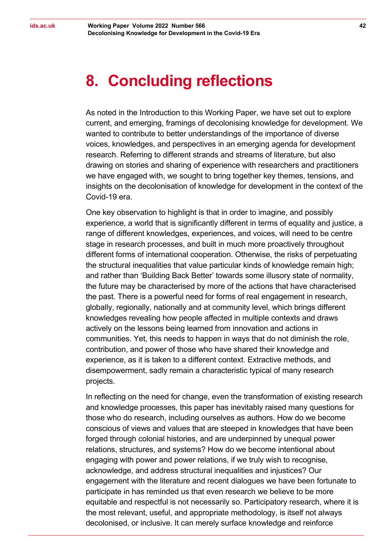### <span id="page-41-0"></span>**8. Concluding reflections**

As noted in the Introduction to this Working Paper, we have set out to explore current, and emerging, framings of decolonising knowledge for development. We wanted to contribute to better understandings of the importance of diverse voices, knowledges, and perspectives in an emerging agenda for development research. Referring to different strands and streams of literature, but also drawing on stories and sharing of experience with researchers and practitioners we have engaged with, we sought to bring together key themes, tensions, and insights on the decolonisation of knowledge for development in the context of the Covid-19 era.

One key observation to highlight is that in order to imagine, and possibly experience, a world that is significantly different in terms of equality and justice, a range of different knowledges, experiences, and voices, will need to be centre stage in research processes, and built in much more proactively throughout different forms of international cooperation. Otherwise, the risks of perpetuating the structural inequalities that value particular kinds of knowledge remain high; and rather than 'Building Back Better' towards some illusory state of normality, the future may be characterised by more of the actions that have characterised the past. There is a powerful need for forms of real engagement in research, globally, regionally, nationally and at community level, which brings different knowledges revealing how people affected in multiple contexts and draws actively on the lessons being learned from innovation and actions in communities. Yet, this needs to happen in ways that do not diminish the role, contribution, and power of those who have shared their knowledge and experience, as it is taken to a different context. Extractive methods, and disempowerment, sadly remain a characteristic typical of many research projects.

In reflecting on the need for change, even the transformation of existing research and knowledge processes, this paper has inevitably raised many questions for those who do research, including ourselves as authors. How do we become conscious of views and values that are steeped in knowledges that have been forged through colonial histories, and are underpinned by unequal power relations, structures, and systems? How do we become intentional about engaging with power and power relations, if we truly wish to recognise, acknowledge, and address structural inequalities and injustices? Our engagement with the literature and recent dialogues we have been fortunate to participate in has reminded us that even research we believe to be more equitable and respectful is not necessarily so. Participatory research, where it is the most relevant, useful, and appropriate methodology, is itself not always decolonised, or inclusive. It can merely surface knowledge and reinforce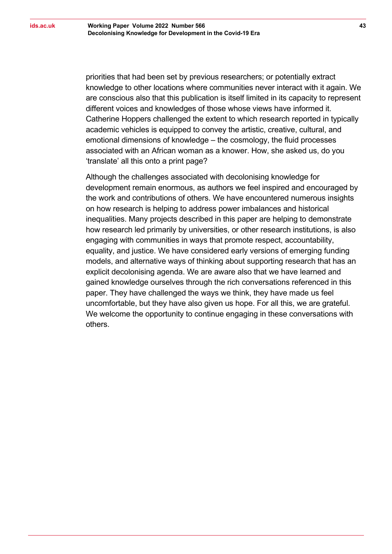priorities that had been set by previous researchers; or potentially extract knowledge to other locations where communities never interact with it again. We are conscious also that this publication is itself limited in its capacity to represent different voices and knowledges of those whose views have informed it. Catherine Hoppers challenged the extent to which research reported in typically academic vehicles is equipped to convey the artistic, creative, cultural, and emotional dimensions of knowledge – the cosmology, the fluid processes associated with an African woman as a knower. How, she asked us, do you 'translate' all this onto a print page?

Although the challenges associated with decolonising knowledge for development remain enormous, as authors we feel inspired and encouraged by the work and contributions of others. We have encountered numerous insights on how research is helping to address power imbalances and historical inequalities. Many projects described in this paper are helping to demonstrate how research led primarily by universities, or other research institutions, is also engaging with communities in ways that promote respect, accountability, equality, and justice. We have considered early versions of emerging funding models, and alternative ways of thinking about supporting research that has an explicit decolonising agenda. We are aware also that we have learned and gained knowledge ourselves through the rich conversations referenced in this paper. They have challenged the ways we think, they have made us feel uncomfortable, but they have also given us hope. For all this, we are grateful. We welcome the opportunity to continue engaging in these conversations with others.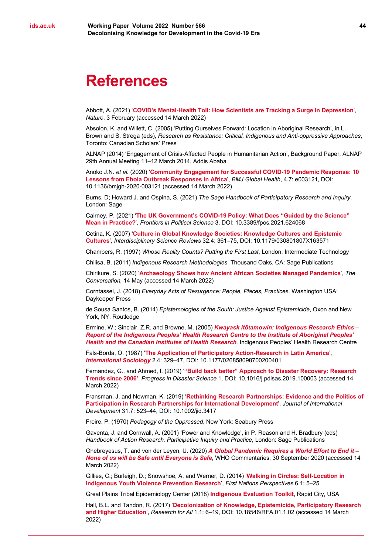#### <span id="page-43-0"></span>**References**

Abbott, A. (2021) '**COVID's Mental-Health [Toll: How Scientists are Tracking a Surge in Depression](https://www.nature.com/articles/d41586-021-00175-z)**', *Nature*, 3 February (accessed 14 March 2022)

Absolon, K. and Willett, C. (2005) 'Putting Ourselves Forward: Location in Aboriginal Research', in L. Brown and S. Strega (eds), *Research as Resistance: Critical, Indigenous and Anti-oppressive Approaches*, Toronto: Canadian Scholars' Press

ALNAP (2014) 'Engagement of Crisis-Affected People in Humanitarian Action', Background Paper, ALNAP 29th Annual Meeting 11–12 March 2014, Addis Ababa

Anoko J.N. *et al.* (2020) '**[Community Engagement for Successful COVID-19 Pandemic Response: 10](https://gh.bmj.com/content/4/Suppl_7/e003121)  [Lessons from Ebola Outbreak](https://gh.bmj.com/content/4/Suppl_7/e003121) Responses in Africa**', *BMJ Global Health*, 4.7: e003121, DOI: 10.1136/bmjgh-2020-003121 (accessed 14 March 2022)

Burns, D; Howard J. and Ospina, S. (2021) *The Sage Handbook of Participatory Research and Inquiry*, London: Sage

Cairney, P. (2021) '**[The UK Government's COVID-19 Policy: What Does "Guided by the Science"](https://www.frontiersin.org/articles/10.3389/fpos.2021.624068/full)  [Mean in Practice?](https://www.frontiersin.org/articles/10.3389/fpos.2021.624068/full)**', *Frontiers in Political Science* 3, DOI: 10.3389/fpos.2021.624068

Cetina, K. (2007) '**[Culture in Global Knowledge Societies: Knowledge Cultures and Epistemic](https://www.tandfonline.com/doi/abs/10.1179/030801807X163571)  [Cultures](https://www.tandfonline.com/doi/abs/10.1179/030801807X163571)**', *Interdisciplinary Science Reviews* 32.4: 361–75, DOI: 10.1179/030801807X163571

Chambers, R. (1997) *Whose Reality Counts? Putting the First Last*, London: Intermediate Technology

Chilisa, B. (2011) *Indigenous Research Methodologies*, Thousand Oaks, CA: Sage Publications

Chirikure, S. (2020) '**[Archaeology Shows how Ancient African Societies Managed Pandemics](https://theconversation.com/archaeology-shows-how-ancient-african-societies-managed-pandemics-138217)**', *The Conversation,* 14 May (accessed 14 March 2022)

Corntassel, J. (2018) *Everyday Acts of Resurgence: People, Places, Practices,* Washington USA: Daykeeper Press

de Sousa Santos, B. (2014) *Epistemologies of the South: Justice Against Epistemicide*, Oxon and New York, NY: Routledge

Ermine, W.; Sinclair, Z.R. and Browne, M. (2005) *[Kwayask itôtamowin: Indigenous Research Ethics –](https://iportal.usask.ca/action.php?sid=833063974&url=https://web.archive.org/web/20150625143846/http://iphrc.ca/pub/documents/IPHRC_ACADRE_Ethics_Report_final.pdf&action=go&id=24110) [Report of the Indigenous Peoples' Health Research Centre to the Institute of Aboriginal Peoples'](https://iportal.usask.ca/action.php?sid=833063974&url=https://web.archive.org/web/20150625143846/http://iphrc.ca/pub/documents/IPHRC_ACADRE_Ethics_Report_final.pdf&action=go&id=24110)  [Health and the Canadian Institutes of Health Research](https://iportal.usask.ca/action.php?sid=833063974&url=https://web.archive.org/web/20150625143846/http://iphrc.ca/pub/documents/IPHRC_ACADRE_Ethics_Report_final.pdf&action=go&id=24110),* Indigenous Peoples' Health Research Centre

Fals-Borda, O. (1987) '**[The Application of Participatory Action-Research in Latin America](https://journals.sagepub.com/doi/10.1177/026858098700200401)**', *[International Sociology](https://journals.sagepub.com/doi/10.1177/026858098700200401)* 2.4: 329–47, DOI: 10.1177/026858098700200401

Fernandez, G., and Ahmed, I. (2019) '**["Build back better" Approach to Disaster Recovery: Research](https://www.sciencedirect.com/science/article/pii/S2590061719300031?via%3Dihub)  [Trends since 2006'](https://www.sciencedirect.com/science/article/pii/S2590061719300031?via%3Dihub)**, *Progress in Disaster Science* 1, DOI: 10.1016/j.pdisas.2019.100003 (accessed 14 March 2022)

Fransman, J. and Newman, K. (2019) '**[Rethinking Research Partnerships: Evidence and the Politics of](http://oro.open.ac.uk/60214/)  [Participation in Research Partnerships for International Development](http://oro.open.ac.uk/60214/)**', *Journal of International Development* 31.7: 523–44, DOI: 10.1002/jid.3417

Freire, P. (1970) *Pedagogy of the Oppressed*, New York: Seabury Press

Gaventa, J. and Cornwall, A. (2001) 'Power and Knowledge', in P. Reason and H. Bradbury (eds) *Handbook of Action Research, Participative Inquiry and Practice*, London: Sage Publications

Ghebreyesus, T. and von der Leyen, U. (2020) *[A Global Pandemic Requires a World Effort to End it –](https://www.who.int/news-room/commentaries/detail/a-global-pandemic-requires-a-world-effort-to-end-it-none-of-us-will-be-safe-until-everyone-is-safe) [None of us will be Safe until Everyone is Safe](https://www.who.int/news-room/commentaries/detail/a-global-pandemic-requires-a-world-effort-to-end-it-none-of-us-will-be-safe-until-everyone-is-safe)*, WHO Commentaries, 30 September 2020 (accessed 14 March 2022)

Gillies, C.; Burleigh, D.; Snowshoe, A. and Werner, D. (2014) '**[Walking in Circles: Self-Location in](https://www.mfnerc.org/wp-content/uploads/2014/10/Walking-in-Circles.pdf)  [Indigenous Youth Violence Prevention Research](https://www.mfnerc.org/wp-content/uploads/2014/10/Walking-in-Circles.pdf)**', *First Nations Perspectives* 6.1: 5–25

Great Plains Tribal Epidemiology Center (2018) **[Indigenous Evaluation Toolkit](https://gptec.gptchb.org/indigenous-evaluation-toolkit/)**, Rapid City, USA

Hall, B.L. and Tandon, R. (2017) '**[Decolonization of Knowledge, Epistemicide, Participatory Research](https://unescochair-cbrsr.org/pdf/resource/RFA.pdf)  [and Higher Education](https://unescochair-cbrsr.org/pdf/resource/RFA.pdf)**', *Research for All* 1.1: 6–19, DOI: 10.18546/RFA.01.1.02 (accessed 14 March 2022)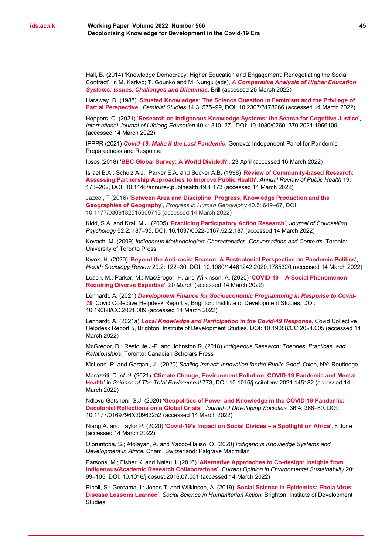Hall, B. (2014) 'Knowledge Democracy, Higher Education and Engagement: Renegotiating the Social Contract', in M. Kariwo; T. Gounko and M. Nungu (eds), *[A Comparative Analysis of Higher Education](https://brill.com/view/title/36585)  [Systems: Issues, Challenges and Dilemmas](https://brill.com/view/title/36585)*, Brill (accessed 25 March 2022)

Haraway, D. (1988) '**[Situated Knowledges: The Science Question in Feminism and the Privilege of](https://www.jstor.org/stable/3178066)  [Partial Perspective](https://www.jstor.org/stable/3178066)**', *Feminist Studies* 14.3: 575–99, DOI: 10.2307/3178066 (accessed 14 March 2022)

Hoppers, C. (2021) '**[Research on Indigenous Knowledge Systems: the Search for Cognitive Justice](https://www.tandfonline.com/doi/abs/10.1080/02601370.2021.1966109?tab=permissions&scroll=top)**', *International Journal of Lifelong Education* 40.4: 310–27, DOI: 10.1080/02601370.2021.1966109 (accessed 14 March 2022)

IPPPR (2021) *[Covid-19: Make it the Last Pandemic](https://theindependentpanel.org/wp-content/uploads/2021/05/COVID-19-Make-it-the-Last-Pandemic_final.pdf)*, Geneva: Independent Panel for Pandemic Preparedness and Response

Ipsos (2018) '**[BBC Global Survey: A World Divided?](https://www.ipsos.com/en-uk/bbc-global-survey-world-divided)**', 23 April (accessed 16 March 2022)

Israel B.A.; Schulz A.J.; Parker E.A. and Becker A.B. (1998) '**[Review of Community-based Research:](https://pubmed.ncbi.nlm.nih.gov/9611617/)  [Assessing Partnership Approaches to Improve Public Health](https://pubmed.ncbi.nlm.nih.gov/9611617/)**', *Annual Review of Public Health* 19: 173–202, DOI: 10.1146/annurev.publhealth.19.1.173 (accessed 14 March 2022)

Jazeel, T (2016) '**[Between Area and Discipline: Progress, Knowledge Production and the](https://journals.sagepub.com/doi/10.1177/0309132515609713)  [Geographies of Geography](https://journals.sagepub.com/doi/10.1177/0309132515609713)**', *Progress in Human Geography* 40.5: 649–67, DOI: 10.1177/0309132515609713 (accessed 14 March 2022)

Kidd, S.A. and Kral, M.J. (2005) '**[Practicing Participatory Action Research](https://psycnet.apa.org/doiLanding?doi=10.1037%2F0022-0167.52.2.187)**', *Journal of Counselling Psychology* 52.2: 187–95, [DOI: 10.1037/0022-0167.52.2.187](https://psycnet.apa.org/doi/10.1037/0022-0167.52.2.187) (accessed 14 March 2022)

Kovach, M. (2009) *Indigenous Methodologies: Characteristics, Conversations and Contexts,* Toronto: University of Toronto Press

Kwok, H. (2020) '**Beyond the Anti-racist Reason: A [Postcolonial Perspective on Pandemic Politics](https://www.tandfonline.com/doi/full/10.1080/14461242.2020.1785320)**', *Health Sociology Review* 29.2: 122–30, DOI: 10.1080/14461242.2020.1785320 (accessed 14 March 2022)

Leach, M.; Parker, M.; MacGregor, H. and Wilkinson, A. (2020) '**COVID-19 – [A Social Phenomenon](https://www.ids.ac.uk/opinions/covid-19-a-social-phenomenon-requiring-diverse-expertise/)  [Requiring Diverse Expertise](https://www.ids.ac.uk/opinions/covid-19-a-social-phenomenon-requiring-diverse-expertise/)**', 20 March (accessed 14 March 2022)

Lenhardt, A. (2021) *[Development Finance for Socioeconomic Programming in Response to Covid-](https://opendocs.ids.ac.uk/opendocs/handle/20.500.12413/17057)[19](https://opendocs.ids.ac.uk/opendocs/handle/20.500.12413/17057)*, Covid Collective Helpdesk Report 9, Brighton: Institute of Development Studies, DOI: 10.19088/CC.2021.009 (accessed 14 March 2022)

Lenhardt, A. (2021a) *[Local Knowledge and Participation in the Covid-19 Response](https://opendocs.ids.ac.uk/opendocs/bitstream/handle/20.500.12413/16663/Covid%20Collective%20helpdesk%20paper%205%20Participation%20in%20Covid%20Recovery%20pdf%281%29.pdf?sequence=1&isAllowed=y)*, Covid Collective Helpdesk Report 5, Brighton: Institute of Development Studies, DOI: 10.19088/CC.2021.005 (accessed 14 March 2022)

McGregor, D.; Restoule J-P. and Johnston R. (2018) *Indigenous Research: Theories, Practices, and Relationships*, Toronto: Canadian Scholars Press

McLean. R. and Gargani, J. (2020) *Scaling Impact: Innovation for the Public Good,* Oxon, NY: Routledge

Marazziti, D. *et al.* (2021) '**[Climate Change, Environment Pollution, COVID-19 Pandemic and Mental](https://www.sciencedirect.com/science/article/abs/pii/S0048969721002485?via%3Dihub)  [Health](https://www.sciencedirect.com/science/article/abs/pii/S0048969721002485?via%3Dihub)**' in *Science of The Total Environment* 773, DOI: 10.1016/j.scitotenv.2021.145182 (accessed 14 March 2022)

Ndlovu-Gatsheni, S.J. (2020) '**[Geopolitics of Power and Knowledge in the COVID-19 Pandemic:](https://journals.sagepub.com/doi/full/10.1177/0169796X20963252)  [Decolonial Reflections on a Global Crisis](https://journals.sagepub.com/doi/full/10.1177/0169796X20963252)**', *Journal of Developing Societies*, 36.4: 366–89. [DOI:](https://doi.org/10.1177%2F0169796X20963252)  [10.1177/0169796X20963252](https://doi.org/10.1177%2F0169796X20963252) (accessed 14 March 2022)

Niang A. and Taylor P. (2020) '**[Covid-19's Impact on Social Divides –](https://www.ids.ac.uk/opinions/covid-19s-impact-on-social-divides-a-spotlight-on-africa/) a Spotlight on Africa**', 8 June (accessed 14 March 2022)

Oloruntoba, S.; Afolayan, A. and Yacob-Haliso, O. (2020) *Indigenous Knowledge Systems and Development in Africa*, Cham, Switzerland: Palgrave Macmillan

Parsons, M.; Fisher K. and Nalau J. (2016) '**[Alternative Approaches to Co-design: Insights from](https://www.sciencedirect.com/science/article/pii/S1877343516300434)  [Indigenous/Academic Research Collaborations](https://www.sciencedirect.com/science/article/pii/S1877343516300434)**', *Current Opinion in Environmental Sustainability* 20: 99–105, DOI: 10.1016/j.cosust.2016.07.001 (accessed 14 March 2022)

Ripoll, S.; Gercama, I.; Jones T. and Wilkinson, A. (2019) '**[Social Science in Epidemics: Ebola Virus](https://www.socialscienceinaction.org/resources/social-science-lessons-learned-ebola-epidemics/)  [Disease Lessons Learned](https://www.socialscienceinaction.org/resources/social-science-lessons-learned-ebola-epidemics/)**', *Social Science in Humanitarian Action,* Brighton: Institute of Development **Studies**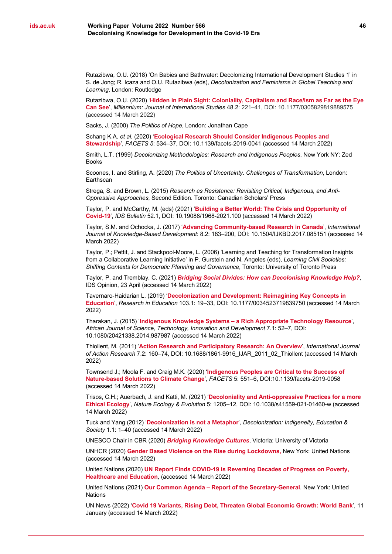Rutazibwa, O.U. (2018) ['On Babies and Bathwater: Decolonizing International Development Studies 1'](https://www.taylorfrancis.com/chapters/edit/10.4324/9781351128988-15/babies-bathwater-olivia-rutazibwa) in S. de Jong; R. Icaza and O.U. Rutazibwa (eds), *Decolonization and Feminisms in Global Teaching and Learning*, London: Routledge

Rutazibwa, O.U. (2020) '**[Hidden in Plain Sight: Coloniality, Capitalism and Race/ism as Far as the Eye](https://journals.sagepub.com/doi/full/10.1177/0305829819889575)  [Can See](https://journals.sagepub.com/doi/full/10.1177/0305829819889575)**', *Millennium: Journal of International Studies* 48.2: 221–41, DOI: 10.1177/0305829819889575 (accessed 14 March 2022)

Sacks, J. (2000) *The Politics of Hope*, London: Jonathan Cape

Schang K.A. *et al.* (2020) '**[Ecological Research Should Consider Indigenous Peoples and](https://www.facetsjournal.com/doi/10.1139/facets-2019-0041)  [Stewardship](https://www.facetsjournal.com/doi/10.1139/facets-2019-0041)**', *FACETS 5*: 534–37, DOI: 10.1139/facets-2019-0041 (accessed 14 March 2022)

Smith, L.T. (1999) *Decolonizing Methodologies: Research and Indigenous Peoples*, New York NY: Zed Books

Scoones, I. and Stirling, A. (2020) *The Politics of Uncertainty. Challenges of Transformation*, London: Earthscan

Strega, S. and Brown, L. (2015) *Research as Resistance: Revisiting Critical, Indigenous, and Anti-Oppressive Approaches*, Second Edition. Toronto: Canadian Scholars' Press

Taylor, P. and McCarthy, M. (eds) (2021) '**[Building a Better World: The](https://opendocs.ids.ac.uk/opendocs/handle/20.500.12413/16513) Crisis and Opportunity of [Covid-19](https://opendocs.ids.ac.uk/opendocs/handle/20.500.12413/16513)**', *IDS Bulletin* 52.1, DOI: 10.19088/1968-2021.100 (accessed 14 March 2022)

Taylor, S.M. and Ochocka, J. (2017) '**[Advancing Community-based Research in Canada](https://www.inderscienceonline.com/doi/abs/10.1504/IJKBD.2017.085151)**', *International Journal of Knowledge-Based Development*: 8.2: 183–200, DOI: 10.1504/IJKBD.2017.085151 (accessed 14 March 2022)

Taylor, P.; Pettit, J. and Stackpool-Moore, L. (2006) 'Learning and Teaching for Transformation Insights from a Collaborative Learning Initiative' in P. Gurstein and N. Angeles (eds), *Learning Civil Societies: Shifting Contexts for Democratic Planning and Governance*, Toronto: University of Toronto Press

Taylor, P. and Tremblay, C. (2021) *[Bridging Social Divides: How can Decolonising Knowledge Help?](https://www.ids.ac.uk/opinions/bridging-social-divides-how-can-decolonising-knowledge-help/)*, IDS Opinion, 23 April (accessed 14 March 2022)

Tavernaro-Haidarian L. (2019) '**[Decolonization and Development: Reimagining Key Concepts in](https://journals.sagepub.com/doi/10.1177/0034523719839750)  [Education](https://journals.sagepub.com/doi/10.1177/0034523719839750)**', *Research in Education* 103.1: 19–33, DOI: 10.1177/0034523719839750 (accessed 14 March 2022)

Tharakan, J. (2015) '**Indigenous Knowledge Systems – [a Rich Appropriate Technology Resource](https://www.tandfonline.com/doi/abs/10.1080/20421338.2014.987987)**', *African Journal of Science, Technology, Innovation and Development* 7.1: 52–7, DOI: 10.1080/20421338.2014.987987 (accessed 14 March 2022)

[Thiollent,](https://www.researchgate.net/publication/profile/Michel-Thiollent?_sg%5B0%5D=ePt7HksWEjo5IMk7WFiemsglakTm9RaxdMxdWsOdjOL4BLMkQ6MWko0RDM5qQ1ZHe5urGZo.654nqstFVmcTRlYNmgpyp2jsiiXY7q4oyqnWadjW5VF5moJEechd7cv45jhC9Mh5FnxoP2tJ7Zf7JgSMiT8yDw.-H2p5vW0wLuwbt2ky5cCQTohIk_SQV3SBw3INQNkY1OqX7pt2__bB0j88yTcG2P1FTWDwQCnd6SAFRz2GEVP1Q&_sg%5B1%5D=rscx-fqWQN5IQqNS-gJ-4wTxjkOP8TM85K_I7jBkOf_5XRQGY98vc8ypkCVyJQceHExv35Q.U_mkbtYearu0pAPPtomi7Nj2hShy2OH5W8fx_6lPLHxlr2f5waMUAALobWwVbE7j_3X-v_NEEl-zberh0EVr-w) M. (2011) '**[Action Research and Participatory Research: An Overview](https://www.ssoar.info/ssoar/bitstream/handle/document/41407/ssoar-ijar-2011-2-thiollent-Action_Research_and_Participatory_Research.pdf?sequence=1&isAllowed=y&lnkname=ssoar-ijar-2011-2-thiollent-Action_Research_and_Participatory_Research.pdf)**', *International Journal of Action Research* 7.2: 160–74, DOI: 10.1688/1861-9916\_IJAR\_2011\_02\_Thiollent (accessed 14 March 2022)

Townsend J.; Moola F. and Craig M.K. (2020) '**[Indigenous Peoples are Critical to the Success of](https://www.facetsjournal.com/doi/10.1139/facets-2019-0058)  [Nature-based Solutions to Climate Change](https://www.facetsjournal.com/doi/10.1139/facets-2019-0058)**', *FACETS* 5: 551–6, DOI:10.1139/facets-2019-0058 (accessed 14 March 2022)

Trisos, C.H.; Auerbach, J. and Katti, M. (2021) '**[Decoloniality and Anti-oppressive Practices for a more](https://www.nature.com/articles/s41559-021-01460-w)  [Ethical Ecology](https://www.nature.com/articles/s41559-021-01460-w)**', *Nature Ecology & Evolution* 5: 1205–12, DOI: 10.1038/s41559-021-01460-w (accessed 14 March 2022)

Tuck and Yang (2012) '**[Decolonization is not a Metaphor](https://jps.library.utoronto.ca/index.php/des/article/view/18630)**', *Decolonization: Indigeneity, Education & Society* 1.1: 1–40 (accessed 14 March 2022)

UNESCO Chair in CBR (2020) *[Bridging Knowledge Cultures](https://www.unescochair-cbrsr.org/bridging-knowledge-cultures/)*, Victoria: University of Victoria

UNHCR (2020) **[Gender Based Violence on the Rise during Lockdowns,](https://www.unhcr.org/news/stories/2020/11/5fbd2e774/gender-based-violence-rise-during-lockdowns.html)** New York: United Nations (accessed 14 March 2022)

United Nations (2020) **[UN Report Finds COVID-19 is Reversing Decades of Progress on Poverty,](https://www.un.org/development/desa/en/news/sustainable/sustainable-development-goals-report-2020.html)  [Healthcare and Education](https://www.un.org/development/desa/en/news/sustainable/sustainable-development-goals-report-2020.html)**, (accessed 14 March 2022)

United Nations (2021) **Our Common Agenda – Report of the Secretary-General**. New York: United **Nations** 

UN News (2022) '**[Covid 19 Variants, Rising Debt, Threaten Global Economic Growth: World Bank](https://news.un.org/en/story/2022/01/1109582)**', 11 January (accessed 14 March 2022)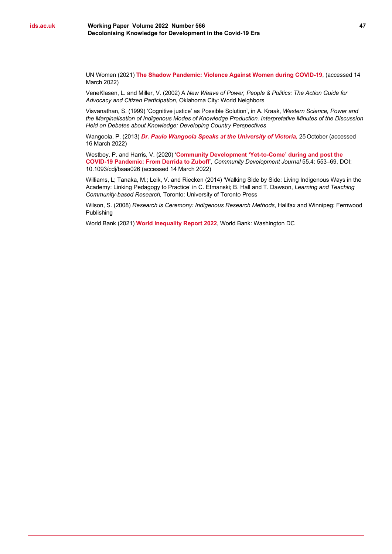UN Women (2021) **[The Shadow Pandemic: Violence Against Women during COVID-19](https://www.unwomen.org/en/news/in-focus/in-focus-gender-equality-in-covid-19-response/violence-against-women-during-covid-19)**, (accessed 14 March 2022)

VeneKlasen, L. and Miller, V. (2002) A *New Weave of Power, People & Politics: The Action Guide for Advocacy and Citizen Participation*, Oklahoma City: World Neighbors

Visvanathan, S. (1999) 'Cognitive justice' as Possible Solution', in A. Kraak, *Western Science, Power and the Marginalisation of Indigenous Modes of Knowledge Production. Interpretative Minutes of the Discussion Held on Debates about Knowledge: Developing Country Perspectives*

Wangoola, P. (2013) *[Dr. Paulo Wangoola Speaks at the University of Victoria,](https://www.youtube.com/watch?v=rfHhN4ncC14&t=63s)* 25 October (accessed 16 March 2022)

Westboy, P. and Harris, V. (2020) '**[Community Development 'Yet-to-Come' during and post the](https://doi.org/10.1093/cdj/bsaa026)  [COVID-19 Pandemic: From Derrida to Zuboff](https://doi.org/10.1093/cdj/bsaa026)**', *Community Development Journal* 55.4: 553–69, DOI: 10.1093/cdj/bsaa026 (accessed 14 March 2022)

Williams, L; Tanaka, M.; Leik, V. and Riecken (2014) 'Walking Side by Side: Living Indigenous Ways in the Academy: Linking Pedagogy to Practice' in C. Etmanski; B. Hall and T. Dawson, *Learning and Teaching Community-based Research,* Toronto: University of Toronto Press

Wilson, S. (2008) *Research is Ceremony: Indigenous Research Methods*, Halifax and Winnipeg: Fernwood Publishing

World Bank (2021) **[World Inequality Report 2022](https://wir2022.wid.world/)**, World Bank: Washington DC